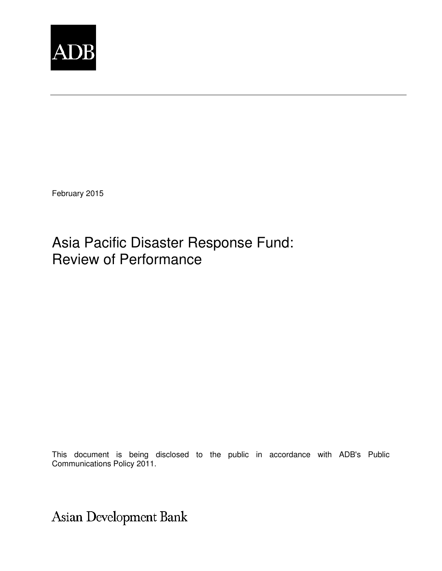

February 2015

## Asia Pacific Disaster Response Fund: Review of Performance

This document is being disclosed to the public in accordance with ADB's Public Communications Policy 2011.

Asian Development Bank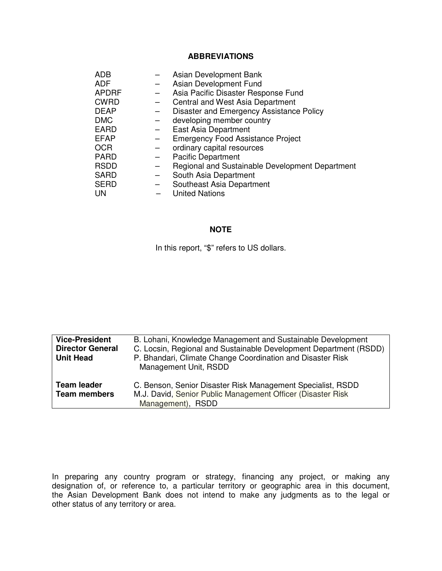#### **ABBREVIATIONS**

| <b>ADB</b><br><b>ADF</b><br><b>APDRF</b><br><b>CWRD</b><br><b>DEAP</b><br><b>DMC</b><br><b>EARD</b><br><b>EFAP</b><br><b>OCR</b> | $\overline{\phantom{m}}$<br>$\qquad \qquad -$ | Asian Development Bank<br>Asian Development Fund<br>Asia Pacific Disaster Response Fund<br>Central and West Asia Department<br>Disaster and Emergency Assistance Policy<br>developing member country<br>East Asia Department<br><b>Emergency Food Assistance Project</b><br>ordinary capital resources |
|----------------------------------------------------------------------------------------------------------------------------------|-----------------------------------------------|--------------------------------------------------------------------------------------------------------------------------------------------------------------------------------------------------------------------------------------------------------------------------------------------------------|
|                                                                                                                                  |                                               |                                                                                                                                                                                                                                                                                                        |
| <b>PARD</b>                                                                                                                      |                                               | <b>Pacific Department</b>                                                                                                                                                                                                                                                                              |
| <b>RSDD</b>                                                                                                                      |                                               | Regional and Sustainable Development Department                                                                                                                                                                                                                                                        |
| <b>SARD</b>                                                                                                                      |                                               | South Asia Department                                                                                                                                                                                                                                                                                  |
| <b>SERD</b>                                                                                                                      |                                               | Southeast Asia Department                                                                                                                                                                                                                                                                              |
| UN                                                                                                                               |                                               | <b>United Nations</b>                                                                                                                                                                                                                                                                                  |
|                                                                                                                                  |                                               |                                                                                                                                                                                                                                                                                                        |

#### **NOTE**

In this report, "\$" refers to US dollars.

| <b>Vice-President</b><br><b>Director General</b><br><b>Unit Head</b> | B. Lohani, Knowledge Management and Sustainable Development<br>C. Locsin, Regional and Sustainable Development Department (RSDD)<br>P. Bhandari, Climate Change Coordination and Disaster Risk<br>Management Unit, RSDD |
|----------------------------------------------------------------------|-------------------------------------------------------------------------------------------------------------------------------------------------------------------------------------------------------------------------|
| Team leader<br><b>Team members</b>                                   | C. Benson, Senior Disaster Risk Management Specialist, RSDD<br>M.J. David, Senior Public Management Officer (Disaster Risk<br>Management), RSDD                                                                         |

In preparing any country program or strategy, financing any project, or making any designation of, or reference to, a particular territory or geographic area in this document, the Asian Development Bank does not intend to make any judgments as to the legal or other status of any territory or area.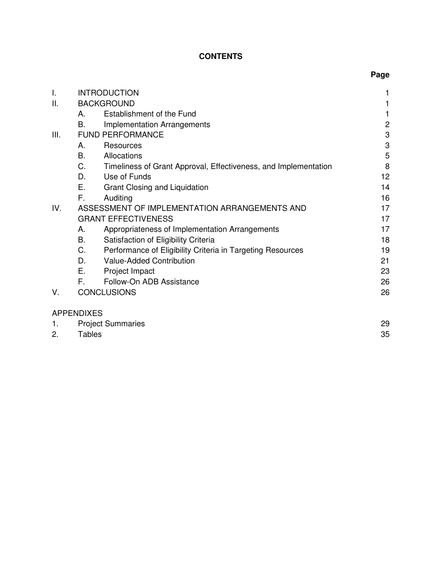## **CONTENTS**

| T.   | <b>INTRODUCTION</b>                                                   | 1              |
|------|-----------------------------------------------------------------------|----------------|
| ΙΙ.  | <b>BACKGROUND</b>                                                     |                |
|      | Establishment of the Fund<br>Α.                                       | 1              |
|      | В.<br>Implementation Arrangements                                     | $\overline{c}$ |
| III. | <b>FUND PERFORMANCE</b>                                               | 3              |
|      | Resources<br>Α.                                                       | 3              |
|      | В.<br>Allocations                                                     | 5              |
|      | C.<br>Timeliness of Grant Approval, Effectiveness, and Implementation | 8              |
|      | Use of Funds<br>D.                                                    | 12             |
|      | Е.<br>Grant Closing and Liquidation                                   | 14             |
|      | F.<br>Auditing                                                        | 16             |
|      |                                                                       |                |
| IV.  | ASSESSMENT OF IMPLEMENTATION ARRANGEMENTS AND                         | 17             |
|      | <b>GRANT EFFECTIVENESS</b>                                            | 17             |
|      | Appropriateness of Implementation Arrangements<br>А.                  | 17             |
|      | В.<br>Satisfaction of Eligibility Criteria                            | 18             |
|      | C.<br>Performance of Eligibility Criteria in Targeting Resources      | 19             |
|      | D.<br>Value-Added Contribution                                        | 21             |
|      | Е.<br>Project Impact                                                  | 23             |
|      | Follow-On ADB Assistance<br>F.                                        | 26             |
| V.   | <b>CONCLUSIONS</b>                                                    | 26             |
|      | <b>APPENDIXES</b>                                                     |                |
|      |                                                                       |                |
| 1.   | <b>Project Summaries</b>                                              | 29             |

2. Tables 35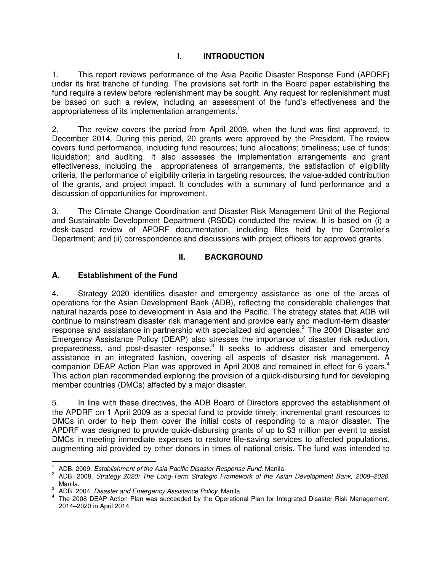## **I. INTRODUCTION**

1. This report reviews performance of the Asia Pacific Disaster Response Fund (APDRF) under its first tranche of funding. The provisions set forth in the Board paper establishing the fund require a review before replenishment may be sought. Any request for replenishment must be based on such a review, including an assessment of the fund's effectiveness and the appropriateness of its implementation arrangements.<sup>1</sup>

2. The review covers the period from April 2009, when the fund was first approved, to December 2014. During this period, 20 grants were approved by the President. The review covers fund performance, including fund resources; fund allocations; timeliness; use of funds; liquidation; and auditing. It also assesses the implementation arrangements and grant effectiveness, including the appropriateness of arrangements, the satisfaction of eligibility criteria, the performance of eligibility criteria in targeting resources, the value-added contribution of the grants, and project impact. It concludes with a summary of fund performance and a discussion of opportunities for improvement.

3. The Climate Change Coordination and Disaster Risk Management Unit of the Regional and Sustainable Development Department (RSDD) conducted the review. It is based on (i) a desk-based review of APDRF documentation, including files held by the Controller's Department; and (ii) correspondence and discussions with project officers for approved grants.

## **II. BACKGROUND**

## **A. Establishment of the Fund**

4. Strategy 2020 identifies disaster and emergency assistance as one of the areas of operations for the Asian Development Bank (ADB), reflecting the considerable challenges that natural hazards pose to development in Asia and the Pacific. The strategy states that ADB will continue to mainstream disaster risk management and provide early and medium-term disaster response and assistance in partnership with specialized aid agencies.<sup>2</sup> The 2004 Disaster and Emergency Assistance Policy (DEAP) also stresses the importance of disaster risk reduction, preparedness, and post-disaster response. $3$  It seeks to address disaster and emergency assistance in an integrated fashion, covering all aspects of disaster risk management. A companion DEAP Action Plan was approved in April 2008 and remained in effect for 6 years.<sup>4</sup> This action plan recommended exploring the provision of a quick-disbursing fund for developing member countries (DMCs) affected by a major disaster.

5. In line with these directives, the ADB Board of Directors approved the establishment of the APDRF on 1 April 2009 as a special fund to provide timely, incremental grant resources to DMCs in order to help them cover the initial costs of responding to a major disaster. The APDRF was designed to provide quick-disbursing grants of up to \$3 million per event to assist DMCs in meeting immediate expenses to restore life-saving services to affected populations, augmenting aid provided by other donors in times of national crisis. The fund was intended to

 $\overline{a}$ 1 ADB. 2009. Establishment of the Asia Pacific Disaster Response Fund. Manila.

<sup>&</sup>lt;sup>2</sup> ADB. 2008. Strategy 2020: The Long-Term Strategic Framework of the Asian Development Bank, 2008–2020. Manila.

 $3/$  ADB. 2004. Disaster and Emergency Assistance Policy. Manila.

<sup>&</sup>lt;sup>4</sup> The 2008 DEAP Action Plan was succeeded by the Operational Plan for Integrated Disaster Risk Management, 2014–2020 in April 2014.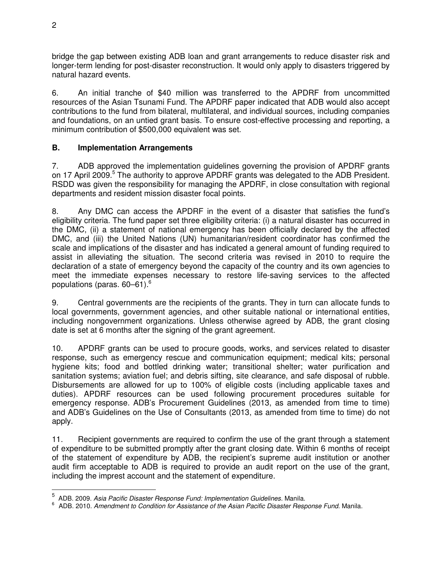bridge the gap between existing ADB loan and grant arrangements to reduce disaster risk and longer-term lending for post-disaster reconstruction. It would only apply to disasters triggered by natural hazard events.

6. An initial tranche of \$40 million was transferred to the APDRF from uncommitted resources of the Asian Tsunami Fund. The APDRF paper indicated that ADB would also accept contributions to the fund from bilateral, multilateral, and individual sources, including companies and foundations, on an untied grant basis. To ensure cost-effective processing and reporting, a minimum contribution of \$500,000 equivalent was set.

## **B. Implementation Arrangements**

7. ADB approved the implementation guidelines governing the provision of APDRF grants on 17 April 2009.<sup>5</sup> The authority to approve APDRF grants was delegated to the ADB President. RSDD was given the responsibility for managing the APDRF, in close consultation with regional departments and resident mission disaster focal points.

8. Any DMC can access the APDRF in the event of a disaster that satisfies the fund's eligibility criteria. The fund paper set three eligibility criteria: (i) a natural disaster has occurred in the DMC, (ii) a statement of national emergency has been officially declared by the affected DMC, and (iii) the United Nations (UN) humanitarian/resident coordinator has confirmed the scale and implications of the disaster and has indicated a general amount of funding required to assist in alleviating the situation. The second criteria was revised in 2010 to require the declaration of a state of emergency beyond the capacity of the country and its own agencies to meet the immediate expenses necessary to restore life-saving services to the affected populations (paras. 60–61).<sup>6</sup>

9. Central governments are the recipients of the grants. They in turn can allocate funds to local governments, government agencies, and other suitable national or international entities, including nongovernment organizations. Unless otherwise agreed by ADB, the grant closing date is set at 6 months after the signing of the grant agreement.

10. APDRF grants can be used to procure goods, works, and services related to disaster response, such as emergency rescue and communication equipment; medical kits; personal hygiene kits; food and bottled drinking water; transitional shelter; water purification and sanitation systems; aviation fuel; and debris sifting, site clearance, and safe disposal of rubble. Disbursements are allowed for up to 100% of eligible costs (including applicable taxes and duties). APDRF resources can be used following procurement procedures suitable for emergency response. ADB's Procurement Guidelines (2013, as amended from time to time) and ADB's Guidelines on the Use of Consultants (2013, as amended from time to time) do not apply.

11. Recipient governments are required to confirm the use of the grant through a statement of expenditure to be submitted promptly after the grant closing date. Within 6 months of receipt of the statement of expenditure by ADB, the recipient's supreme audit institution or another audit firm acceptable to ADB is required to provide an audit report on the use of the grant, including the imprest account and the statement of expenditure.

<sup>&</sup>lt;u>.</u><br><sup>5</sup> ADB. 2009. *Asia Pacific Disaster Response Fund: Implementation Guidelines. Manila.<br><sup>6</sup> ADB. 2010. Amendment to Condition for Assistance of the Asian Bosific Disaster Rest* 

ADB. 2010. Amendment to Condition for Assistance of the Asian Pacific Disaster Response Fund. Manila.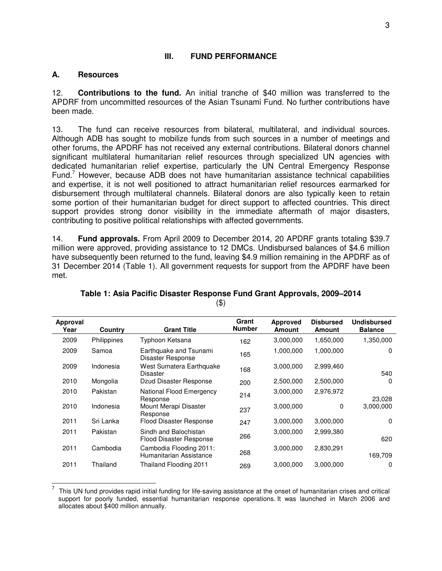#### **III. FUND PERFORMANCE**

#### **A. Resources**

12. **Contributions to the fund.** An initial tranche of \$40 million was transferred to the APDRF from uncommitted resources of the Asian Tsunami Fund. No further contributions have been made.

13. The fund can receive resources from bilateral, multilateral, and individual sources. Although ADB has sought to mobilize funds from such sources in a number of meetings and other forums, the APDRF has not received any external contributions. Bilateral donors channel significant multilateral humanitarian relief resources through specialized UN agencies with dedicated humanitarian relief expertise, particularly the UN Central Emergency Response Fund.<sup>7</sup> However, because ADB does not have humanitarian assistance technical capabilities and expertise, it is not well positioned to attract humanitarian relief resources earmarked for disbursement through multilateral channels. Bilateral donors are also typically keen to retain some portion of their humanitarian budget for direct support to affected countries. This direct support provides strong donor visibility in the immediate aftermath of major disasters, contributing to positive political relationships with affected governments.

14. **Fund approvals.** From April 2009 to December 2014, 20 APDRF grants totaling \$39.7 million were approved, providing assistance to 12 DMCs. Undisbursed balances of \$4.6 million have subsequently been returned to the fund, leaving \$4.9 million remaining in the APDRF as of 31 December 2014 (Table 1). All government requests for support from the APDRF have been met.

| <b>Approval</b><br>Year | Country     | <b>Grant Title</b>                                 | Grant<br><b>Number</b> | <b>Approved</b><br><b>Amount</b> | <b>Disbursed</b><br><b>Amount</b> | <b>Undisbursed</b><br><b>Balance</b> |
|-------------------------|-------------|----------------------------------------------------|------------------------|----------------------------------|-----------------------------------|--------------------------------------|
| 2009                    | Philippines | Typhoon Ketsana                                    | 162                    | 3,000,000                        | 1,650,000                         | 1,350,000                            |
| 2009                    | Samoa       | Earthquake and Tsunami<br>Disaster Response        | 165                    | 1,000,000                        | 1,000,000                         | $\Omega$                             |
| 2009                    | Indonesia   | West Sumatera Earthquake<br><b>Disaster</b>        | 168                    | 3,000,000                        | 2,999,460                         | 540                                  |
| 2010                    | Mongolia    | Dzud Disaster Response                             | 200                    | 2,500,000                        | 2,500,000                         | 0                                    |
| 2010                    | Pakistan    | National Flood Emergency<br>Response               | 214                    | 3,000,000                        | 2,976,972                         | 23,028                               |
| 2010                    | Indonesia   | Mount Merapi Disaster<br>Response                  | 237                    | 3,000,000                        | 0                                 | 3,000,000                            |
| 2011                    | Sri Lanka   | Flood Disaster Response                            | 247                    | 3,000,000                        | 3,000,000                         | 0                                    |
| 2011                    | Pakistan    | Sindh and Balochistan<br>Flood Disaster Response   | 266                    | 3,000,000                        | 2,999,380                         | 620                                  |
| 2011                    | Cambodia    | Cambodia Flooding 2011:<br>Humanitarian Assistance | 268                    | 3,000,000                        | 2,830,291                         | 169,709                              |
| 2011                    | Thailand    | Thailand Flooding 2011                             | 269                    | 3,000,000                        | 3,000,000                         | 0                                    |

**Table 1: Asia Pacific Disaster Response Fund Grant Approvals, 2009–2014**  (\$)

<sup>-&</sup>lt;br>7 This UN fund provides rapid initial funding for life-saving assistance at the onset of humanitarian crises and critical support for poorly funded, essential humanitarian response operations. It was launched in March 2006 and allocates about \$400 million annually.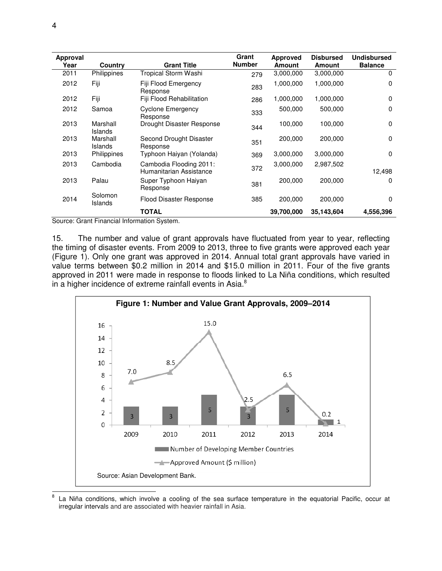| Approval<br>Year              | Country             | <b>Grant Title</b>                                 | Grant<br><b>Number</b> | Approved<br><b>Amount</b> | <b>Disbursed</b><br><b>Amount</b> | <b>Undisbursed</b><br><b>Balance</b> |
|-------------------------------|---------------------|----------------------------------------------------|------------------------|---------------------------|-----------------------------------|--------------------------------------|
| 2011                          | Philippines         | Tropical Storm Washi                               | 279                    | 3,000,000                 | 3,000,000                         | 0                                    |
| 2012                          | Fiji                | Fiji Flood Emergency<br>Response                   | 283                    | 1,000,000                 | 1,000,000                         | 0                                    |
| 2012                          | Fiji                | Fiji Flood Rehabilitation                          | 286                    | 1,000,000                 | 1,000,000                         | 0                                    |
| 2012                          | Samoa               | Cyclone Emergency<br>Response                      | 333                    | 500,000                   | 500,000                           | 0                                    |
| 2013                          | Marshall<br>Islands | Drought Disaster Response                          | 344                    | 100,000                   | 100,000                           | 0                                    |
| 2013                          | Marshall<br>Islands | Second Drought Disaster<br>Response                | 351                    | 200,000                   | 200,000                           | 0                                    |
| 2013                          | Philippines         | Typhoon Haiyan (Yolanda)                           | 369                    | 3,000,000                 | 3,000,000                         | 0                                    |
| 2013                          | Cambodia            | Cambodia Flooding 2011:<br>Humanitarian Assistance | 372                    | 3,000,000                 | 2,987,502                         | 12,498                               |
| 2013                          | Palau               | Super Typhoon Haiyan<br>Response                   | 381                    | 200,000                   | 200,000                           | 0                                    |
| 2014                          | Solomon<br>Islands  | Flood Disaster Response                            | 385                    | 200,000                   | 200,000                           | 0                                    |
| $\bigcap$ $\bigcap$ $\bigcap$ | $-1$ $-1$ $-1$ $-1$ | <b>TOTAL</b>                                       |                        | 39,700,000                | 35,143,604                        | 4,556,396                            |

Source: Grant Financial Information System.

15. The number and value of grant approvals have fluctuated from year to year, reflecting the timing of disaster events. From 2009 to 2013, three to five grants were approved each year (Figure 1). Only one grant was approved in 2014. Annual total grant approvals have varied in value terms between \$0.2 million in 2014 and \$15.0 million in 2011. Four of the five grants approved in 2011 were made in response to floods linked to La Niña conditions, which resulted in a higher incidence of extreme rainfall events in Asia.<sup>8</sup>



<sup>-&</sup>lt;br>8 La Niña conditions, which involve a cooling of the sea surface temperature in the equatorial Pacific, occur at irregular intervals and are associated with heavier rainfall in Asia.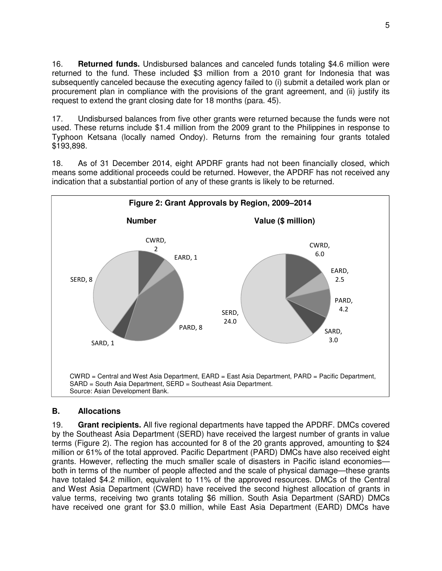16. **Returned funds.** Undisbursed balances and canceled funds totaling \$4.6 million were returned to the fund. These included \$3 million from a 2010 grant for Indonesia that was subsequently canceled because the executing agency failed to (i) submit a detailed work plan or procurement plan in compliance with the provisions of the grant agreement, and (ii) justify its request to extend the grant closing date for 18 months (para. 45).

17. Undisbursed balances from five other grants were returned because the funds were not used. These returns include \$1.4 million from the 2009 grant to the Philippines in response to Typhoon Ketsana (locally named Ondoy). Returns from the remaining four grants totaled \$193,898.

18. As of 31 December 2014, eight APDRF grants had not been financially closed, which means some additional proceeds could be returned. However, the APDRF has not received any indication that a substantial portion of any of these grants is likely to be returned.



#### **B. Allocations**

19. **Grant recipients.** All five regional departments have tapped the APDRF. DMCs covered by the Southeast Asia Department (SERD) have received the largest number of grants in value terms (Figure 2). The region has accounted for 8 of the 20 grants approved, amounting to \$24 million or 61% of the total approved. Pacific Department (PARD) DMCs have also received eight grants. However, reflecting the much smaller scale of disasters in Pacific island economies both in terms of the number of people affected and the scale of physical damage—these grants have totaled \$4.2 million, equivalent to 11% of the approved resources. DMCs of the Central and West Asia Department (CWRD) have received the second highest allocation of grants in value terms, receiving two grants totaling \$6 million. South Asia Department (SARD) DMCs have received one grant for \$3.0 million, while East Asia Department (EARD) DMCs have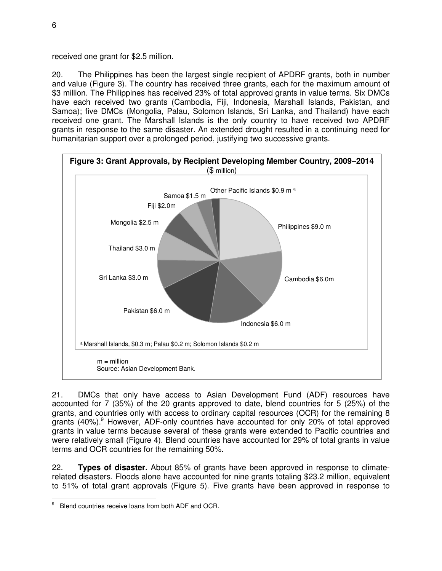received one grant for \$2.5 million.

20. The Philippines has been the largest single recipient of APDRF grants, both in number and value (Figure 3). The country has received three grants, each for the maximum amount of \$3 million. The Philippines has received 23% of total approved grants in value terms. Six DMCs have each received two grants (Cambodia, Fiji, Indonesia, Marshall Islands, Pakistan, and Samoa); five DMCs (Mongolia, Palau, Solomon Islands, Sri Lanka, and Thailand) have each received one grant. The Marshall Islands is the only country to have received two APDRF grants in response to the same disaster. An extended drought resulted in a continuing need for humanitarian support over a prolonged period, justifying two successive grants.



21. DMCs that only have access to Asian Development Fund (ADF) resources have accounted for 7 (35%) of the 20 grants approved to date, blend countries for 5 (25%) of the grants, and countries only with access to ordinary capital resources (OCR) for the remaining 8 grants (40%).<sup>9</sup> However, ADF-only countries have accounted for only 20% of total approved grants in value terms because several of these grants were extended to Pacific countries and were relatively small (Figure 4). Blend countries have accounted for 29% of total grants in value terms and OCR countries for the remaining 50%.

22. **Types of disaster.** About 85% of grants have been approved in response to climaterelated disasters. Floods alone have accounted for nine grants totaling \$23.2 million, equivalent to 51% of total grant approvals (Figure 5). Five grants have been approved in response to

<sup>-&</sup>lt;br>9 Blend countries receive loans from both ADF and OCR.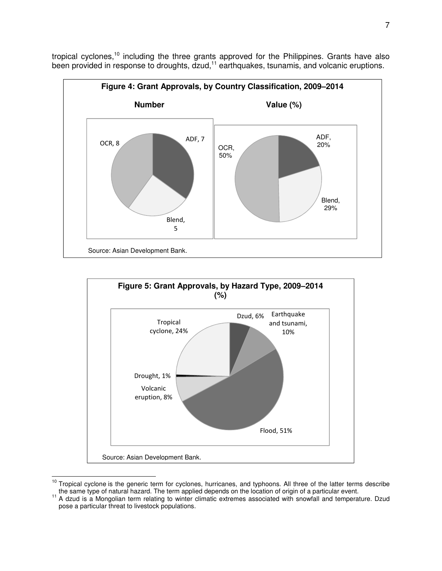tropical cyclones,<sup>10</sup> including the three grants approved for the Philippines. Grants have also been provided in response to droughts, dzud,<sup>11</sup> earthquakes, tsunamis, and volcanic eruptions.





<sup>&</sup>lt;sup>10</sup> Tropical cyclone is the generic term for cyclones, hurricanes, and typhoons. All three of the latter terms describe the same type of natural hazard. The term applied depends on the location of origin of a particular event.

 $\overline{1}$ 

<sup>&</sup>lt;sup>11</sup> A dzud is a Mongolian term relating to winter climatic extremes associated with snowfall and temperature. Dzud pose a particular threat to livestock populations.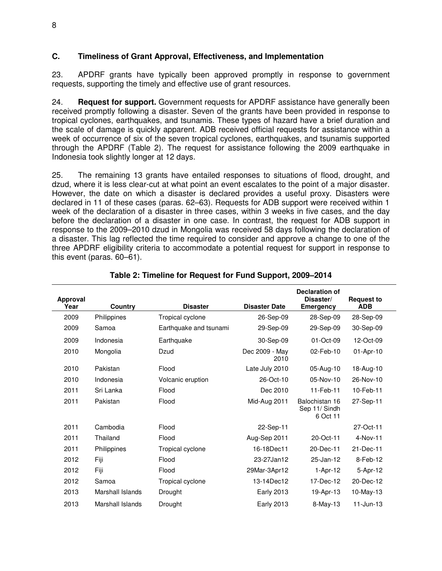## **C. Timeliness of Grant Approval, Effectiveness, and Implementation**

23. APDRF grants have typically been approved promptly in response to government requests, supporting the timely and effective use of grant resources.

24. **Request for support.** Government requests for APDRF assistance have generally been received promptly following a disaster. Seven of the grants have been provided in response to tropical cyclones, earthquakes, and tsunamis. These types of hazard have a brief duration and the scale of damage is quickly apparent. ADB received official requests for assistance within a week of occurrence of six of the seven tropical cyclones, earthquakes, and tsunamis supported through the APDRF (Table 2). The request for assistance following the 2009 earthquake in Indonesia took slightly longer at 12 days.

25. The remaining 13 grants have entailed responses to situations of flood, drought, and dzud, where it is less clear-cut at what point an event escalates to the point of a major disaster. However, the date on which a disaster is declared provides a useful proxy. Disasters were declared in 11 of these cases (paras. 62–63). Requests for ADB support were received within 1 week of the declaration of a disaster in three cases, within 3 weeks in five cases, and the day before the declaration of a disaster in one case. In contrast, the request for ADB support in response to the 2009–2010 dzud in Mongolia was received 58 days following the declaration of a disaster. This lag reflected the time required to consider and approve a change to one of the three APDRF eligibility criteria to accommodate a potential request for support in response to this event (paras. 60–61).

| Approval<br>Year | Country          | <b>Disaster</b>        | <b>Disaster Date</b>   | <b>Declaration of</b><br>Disaster/<br>Emergency | <b>Request to</b><br><b>ADB</b> |  |
|------------------|------------------|------------------------|------------------------|-------------------------------------------------|---------------------------------|--|
| 2009             | Philippines      | Tropical cyclone       | 26-Sep-09              | 28-Sep-09                                       | 28-Sep-09                       |  |
| 2009             | Samoa            | Earthquake and tsunami | 29-Sep-09              | 29-Sep-09                                       | 30-Sep-09                       |  |
| 2009             | Indonesia        | Earthquake             | 30-Sep-09              | 01-Oct-09                                       | 12-Oct-09                       |  |
| 2010             | Mongolia         | Dzud                   | Dec 2009 - May<br>2010 | 02-Feb-10                                       | 01-Apr-10                       |  |
| 2010             | Pakistan         | Flood                  | Late July 2010         | 05-Aug-10                                       | 18-Aug-10                       |  |
| 2010             | Indonesia        | Volcanic eruption      | 26-Oct-10              | 05-Nov-10                                       | 26-Nov-10                       |  |
| 2011             | Sri Lanka        | Flood                  | Dec 2010               | 11-Feb-11                                       | 10-Feb-11                       |  |
| 2011             | Pakistan         | Flood                  | Mid-Aug 2011           | Balochistan 16<br>Sep 11/ Sindh<br>6 Oct 11     | 27-Sep-11                       |  |
| 2011             | Cambodia         | Flood                  | 22-Sep-11              |                                                 | 27-Oct-11                       |  |
| 2011             | Thailand         | Flood                  | Aug-Sep 2011           | 20-Oct-11                                       | 4-Nov-11                        |  |
| 2011             | Philippines      | Tropical cyclone       | 16-18Dec11             | 20-Dec-11                                       | 21-Dec-11                       |  |
| 2012             | Fiji             | Flood                  | 23-27Jan12             | 25-Jan-12                                       | 8-Feb-12                        |  |
| 2012             | Fiji             | Flood                  | 29Mar-3Apr12           | $1-Apr-12$                                      | 5-Apr-12                        |  |
| 2012             | Samoa            | Tropical cyclone       | 13-14Dec12             | 17-Dec-12                                       | 20-Dec-12                       |  |
| 2013             | Marshall Islands | Drought                | <b>Early 2013</b>      | 19-Apr-13                                       | 10-May-13                       |  |
| 2013             | Marshall Islands | Drought                | <b>Early 2013</b>      | $8-May-13$                                      | $11$ -Jun-13                    |  |

## **Table 2: Timeline for Request for Fund Support, 2009–2014**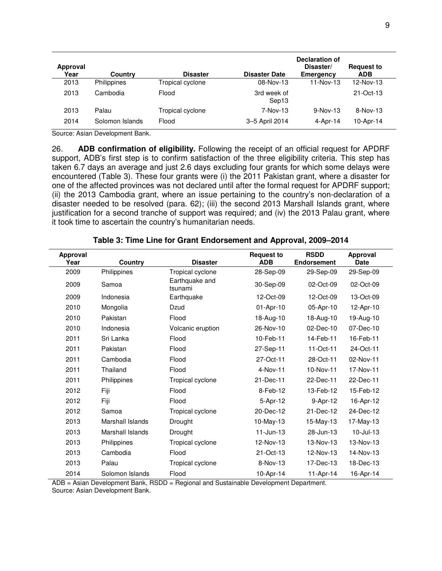| Approval<br>Year | Country            | <b>Disaster</b>  | <b>Disaster Date</b> | Declaration of<br>Disaster/<br>Emergency | <b>Request to</b><br><b>ADB</b> |
|------------------|--------------------|------------------|----------------------|------------------------------------------|---------------------------------|
| 2013             | <b>Philippines</b> | Tropical cyclone | 08-Nov-13            | 11-Nov-13                                | 12-Nov-13                       |
| 2013             | Cambodia           | Flood            | 3rd week of<br>Sep13 |                                          | 21-Oct-13                       |
| 2013             | Palau              | Tropical cyclone | 7-Nov-13             | $9-Nov-13$                               | $8-Nov-13$                      |
| 2014             | Solomon Islands    | Flood            | 3-5 April 2014       | $4 -$ Apr $-14$                          | 10-Apr-14                       |

Source: Asian Development Bank.

26. **ADB confirmation of eligibility.** Following the receipt of an official request for APDRF support, ADB's first step is to confirm satisfaction of the three eligibility criteria. This step has taken 6.7 days an average and just 2.6 days excluding four grants for which some delays were encountered (Table 3). These four grants were (i) the 2011 Pakistan grant, where a disaster for one of the affected provinces was not declared until after the formal request for APDRF support; (ii) the 2013 Cambodia grant, where an issue pertaining to the country's non-declaration of a disaster needed to be resolved (para. 62); (iii) the second 2013 Marshall Islands grant, where justification for a second tranche of support was required; and (iv) the 2013 Palau grant, where it took time to ascertain the country's humanitarian needs.

| Approval<br>Year | Country          | <b>Disaster</b>           | <b>Request to</b><br><b>ADB</b> | <b>RSDD</b><br><b>Endorsement</b> | Approval<br>Date |
|------------------|------------------|---------------------------|---------------------------------|-----------------------------------|------------------|
| 2009             | Philippines      | Tropical cyclone          | 28-Sep-09                       | 29-Sep-09                         | 29-Sep-09        |
| 2009             | Samoa            | Earthquake and<br>tsunami | 30-Sep-09                       | 02-Oct-09                         | 02-Oct-09        |
| 2009             | Indonesia        | Earthquake                | 12-Oct-09                       | 12-Oct-09                         | 13-Oct-09        |
| 2010             | Mongolia         | Dzud                      | 01-Apr-10                       | 05-Apr-10                         | 12-Apr-10        |
| 2010             | Pakistan         | Flood                     | 18-Aug-10                       | 18-Aug-10                         | 19-Aug-10        |
| 2010             | Indonesia        | Volcanic eruption         | 26-Nov-10                       | 02-Dec-10                         | 07-Dec-10        |
| 2011             | Sri Lanka        | Flood                     | 10-Feb-11                       | 14-Feb-11                         | 16-Feb-11        |
| 2011             | Pakistan         | Flood                     | 27-Sep-11                       | 11-Oct-11                         | 24-Oct-11        |
| 2011             | Cambodia         | Flood                     | 27-Oct-11                       | 28-Oct-11                         | 02-Nov-11        |
| 2011             | Thailand         | Flood                     | 4-Nov-11                        | 10-Nov-11                         | 17-Nov-11        |
| 2011             | Philippines      | Tropical cyclone          | 21-Dec-11                       | 22-Dec-11                         | 22-Dec-11        |
| 2012             | Fiji             | Flood                     | 8-Feb-12                        | 13-Feb-12                         | 15-Feb-12        |
| 2012             | Fiji             | Flood                     | 5-Apr-12                        | 9-Apr-12                          | 16-Apr-12        |
| 2012             | Samoa            | Tropical cyclone          | 20-Dec-12                       | 21-Dec-12                         | 24-Dec-12        |
| 2013             | Marshall Islands | Drought                   | 10-May-13                       | $15$ -May-13                      | 17-May-13        |
| 2013             | Marshall Islands | Drought                   | $11$ -Jun-13                    | 28-Jun-13                         | $10 -$ Jul-13    |
| 2013             | Philippines      | Tropical cyclone          | 12-Nov-13                       | 13-Nov-13                         | 13-Nov-13        |
| 2013             | Cambodia         | Flood                     | 21-Oct-13                       | 12-Nov-13                         | 14-Nov-13        |
| 2013             | Palau            | Tropical cyclone          | 8-Nov-13                        | 17-Dec-13                         | 18-Dec-13        |
| 2014             | Solomon Islands  | Flood                     | 10-Apr-14                       | 11-Apr-14                         | 16-Apr-14        |

**Table 3: Time Line for Grant Endorsement and Approval, 2009–2014**

ADB = Asian Development Bank, RSDD = Regional and Sustainable Development Department. Source: Asian Development Bank.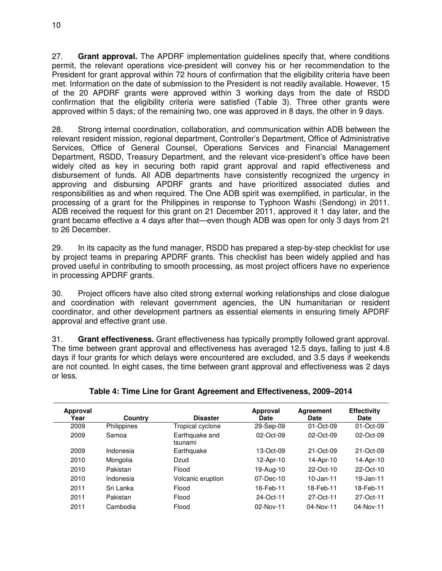27. **Grant approval.** The APDRF implementation guidelines specify that, where conditions permit, the relevant operations vice-president will convey his or her recommendation to the President for grant approval within 72 hours of confirmation that the eligibility criteria have been met. Information on the date of submission to the President is not readily available. However, 15 of the 20 APDRF grants were approved within 3 working days from the date of RSDD confirmation that the eligibility criteria were satisfied (Table 3). Three other grants were approved within 5 days; of the remaining two, one was approved in 8 days, the other in 9 days.

28. Strong internal coordination, collaboration, and communication within ADB between the relevant resident mission, regional department, Controller's Department, Office of Administrative Services, Office of General Counsel, Operations Services and Financial Management Department, RSDD, Treasury Department, and the relevant vice-president's office have been widely cited as key in securing both rapid grant approval and rapid effectiveness and disbursement of funds. All ADB departments have consistently recognized the urgency in approving and disbursing APDRF grants and have prioritized associated duties and responsibilities as and when required. The One ADB spirit was exemplified, in particular, in the processing of a grant for the Philippines in response to Typhoon Washi (Sendong) in 2011. ADB received the request for this grant on 21 December 2011, approved it 1 day later, and the grant became effective a 4 days after that—even though ADB was open for only 3 days from 21 to 26 December.

29. In its capacity as the fund manager, RSDD has prepared a step-by-step checklist for use by project teams in preparing APDRF grants. This checklist has been widely applied and has proved useful in contributing to smooth processing, as most project officers have no experience in processing APDRF grants.

30. Project officers have also cited strong external working relationships and close dialogue and coordination with relevant government agencies, the UN humanitarian or resident coordinator, and other development partners as essential elements in ensuring timely APDRF approval and effective grant use.

31. **Grant effectiveness.** Grant effectiveness has typically promptly followed grant approval. The time between grant approval and effectiveness has averaged 12.5 days, falling to just 4.8 days if four grants for which delays were encountered are excluded, and 3.5 days if weekends are not counted. In eight cases, the time between grant approval and effectiveness was 2 days or less.

| Approval<br>Year | Country            | <b>Disaster</b>           | Approval<br><b>Date</b> | Agreement<br><b>Date</b> | <b>Effectivity</b><br>Date |
|------------------|--------------------|---------------------------|-------------------------|--------------------------|----------------------------|
| 2009             | <b>Philippines</b> | Tropical cyclone          | 29-Sep-09               | $01 - Oct-09$            | $01 - Oct-09$              |
| 2009             | Samoa              | Earthquake and<br>tsunami | 02-Oct-09               | 02-Oct-09                | 02-Oct-09                  |
| 2009             | Indonesia          | Earthquake                | $13 - Oct-09$           | $21 - Oct-09$            | $21 - Oct-09$              |
| 2010             | Mongolia           | Dzud                      | 12-Apr-10               | 14-Apr-10                | 14-Apr-10                  |
| 2010             | Pakistan           | Flood                     | 19-Aug-10               | 22-Oct-10                | 22-Oct-10                  |
| 2010             | Indonesia          | Volcanic eruption         | $07 - Dec - 10$         | $10 - Jan-11$            | 19-Jan-11                  |
| 2011             | Sri Lanka          | Flood                     | 16-Feb-11               | 18-Feb-11                | 18-Feb-11                  |
| 2011             | Pakistan           | Flood                     | 24-Oct-11               | 27-Oct-11                | 27-Oct-11                  |
| 2011             | Cambodia           | Flood                     | 02-Nov-11               | $04 - Nov - 11$          | 04-Nov-11                  |

**Table 4: Time Line for Grant Agreement and Effectiveness, 2009–2014**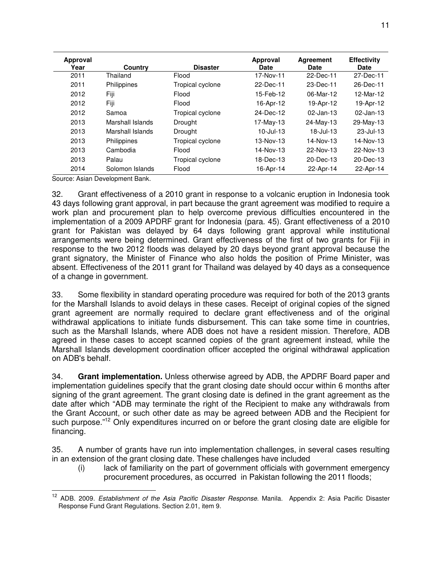| Approval<br>Year | <b>Country</b>   | <b>Disaster</b>  | Approval<br><b>Date</b> | <b>Agreement</b><br><b>Date</b> | <b>Effectivity</b><br><b>Date</b> |
|------------------|------------------|------------------|-------------------------|---------------------------------|-----------------------------------|
| 2011             | Thailand         | Flood            | 17-Nov-11               | 22-Dec-11                       | 27-Dec-11                         |
| 2011             | Philippines      | Tropical cyclone | 22-Dec-11               | 23-Dec-11                       | 26-Dec-11                         |
| 2012             | Fiji             | Flood            | 15-Feb-12               | 06-Mar-12                       | 12-Mar-12                         |
| 2012             | Fiji             | Flood            | 16-Apr-12               | 19-Apr-12                       | 19-Apr-12                         |
| 2012             | Samoa            | Tropical cyclone | 24-Dec-12               | $02$ -Jan-13                    | $02$ -Jan-13                      |
| 2013             | Marshall Islands | Drought          | 17-May-13               | 24-May-13                       | 29-May-13                         |
| 2013             | Marshall Islands | Drought          | $10$ -Jul-13            | $18 -$ Jul-13                   | $23 -$ Jul-13                     |
| 2013             | Philippines      | Tropical cyclone | 13-Nov-13               | 14-Nov-13                       | 14-Nov-13                         |
| 2013             | Cambodia         | Flood            | 14-Nov-13               | 22-Nov-13                       | 22-Nov-13                         |
| 2013             | Palau            | Tropical cyclone | 18-Dec-13               | 20-Dec-13                       | 20-Dec-13                         |
| 2014             | Solomon Islands  | Flood            | 16-Apr-14               | 22-Apr-14                       | 22-Apr-14                         |

Source: Asian Development Bank.

32. Grant effectiveness of a 2010 grant in response to a volcanic eruption in Indonesia took 43 days following grant approval, in part because the grant agreement was modified to require a work plan and procurement plan to help overcome previous difficulties encountered in the implementation of a 2009 APDRF grant for Indonesia (para. 45). Grant effectiveness of a 2010 grant for Pakistan was delayed by 64 days following grant approval while institutional arrangements were being determined. Grant effectiveness of the first of two grants for Fiji in response to the two 2012 floods was delayed by 20 days beyond grant approval because the grant signatory, the Minister of Finance who also holds the position of Prime Minister, was absent. Effectiveness of the 2011 grant for Thailand was delayed by 40 days as a consequence of a change in government.

33. Some flexibility in standard operating procedure was required for both of the 2013 grants for the Marshall Islands to avoid delays in these cases. Receipt of original copies of the signed grant agreement are normally required to declare grant effectiveness and of the original withdrawal applications to initiate funds disbursement. This can take some time in countries, such as the Marshall Islands, where ADB does not have a resident mission. Therefore, ADB agreed in these cases to accept scanned copies of the grant agreement instead, while the Marshall Islands development coordination officer accepted the original withdrawal application on ADB's behalf.

34. **Grant implementation.** Unless otherwise agreed by ADB, the APDRF Board paper and implementation guidelines specify that the grant closing date should occur within 6 months after signing of the grant agreement. The grant closing date is defined in the grant agreement as the date after which "ADB may terminate the right of the Recipient to make any withdrawals from the Grant Account, or such other date as may be agreed between ADB and the Recipient for such purpose."<sup>12</sup> Only expenditures incurred on or before the grant closing date are eligible for financing.

35. A number of grants have run into implementation challenges, in several cases resulting in an extension of the grant closing date. These challenges have included

(i) lack of familiarity on the part of government officials with government emergency procurement procedures, as occurred in Pakistan following the 2011 floods;

 $\overline{a}$ <sup>12</sup> ADB. 2009. Establishment of the Asia Pacific Disaster Response. Manila. Appendix 2: Asia Pacific Disaster Response Fund Grant Regulations. Section 2.01, item 9.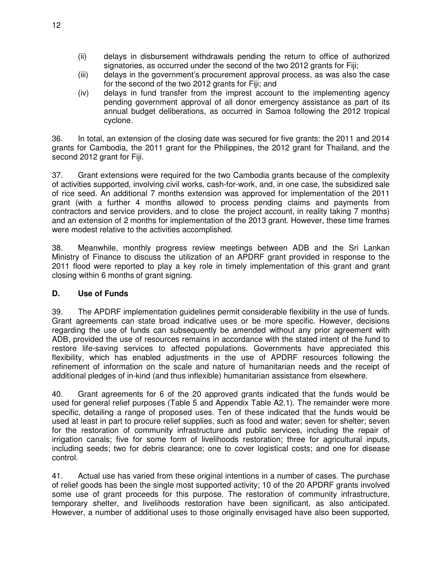- (ii) delays in disbursement withdrawals pending the return to office of authorized signatories, as occurred under the second of the two 2012 grants for Fiji;
- (iii) delays in the government's procurement approval process, as was also the case for the second of the two 2012 grants for Fiji; and
- (iv) delays in fund transfer from the imprest account to the implementing agency pending government approval of all donor emergency assistance as part of its annual budget deliberations, as occurred in Samoa following the 2012 tropical cyclone.

36. In total, an extension of the closing date was secured for five grants: the 2011 and 2014 grants for Cambodia, the 2011 grant for the Philippines, the 2012 grant for Thailand, and the second 2012 grant for Fiji.

37. Grant extensions were required for the two Cambodia grants because of the complexity of activities supported, involving civil works, cash-for-work, and, in one case, the subsidized sale of rice seed. An additional 7 months extension was approved for implementation of the 2011 grant (with a further 4 months allowed to process pending claims and payments from contractors and service providers, and to close the project account, in reality taking 7 months) and an extension of 2 months for implementation of the 2013 grant. However, these time frames were modest relative to the activities accomplished.

38. Meanwhile, monthly progress review meetings between ADB and the Sri Lankan Ministry of Finance to discuss the utilization of an APDRF grant provided in response to the 2011 flood were reported to play a key role in timely implementation of this grant and grant closing within 6 months of grant signing.

#### **D. Use of Funds**

39. The APDRF implementation guidelines permit considerable flexibility in the use of funds. Grant agreements can state broad indicative uses or be more specific. However, decisions regarding the use of funds can subsequently be amended without any prior agreement with ADB, provided the use of resources remains in accordance with the stated intent of the fund to restore life-saving services to affected populations. Governments have appreciated this flexibility, which has enabled adjustments in the use of APDRF resources following the refinement of information on the scale and nature of humanitarian needs and the receipt of additional pledges of in-kind (and thus inflexible) humanitarian assistance from elsewhere.

40. Grant agreements for 6 of the 20 approved grants indicated that the funds would be used for general relief purposes (Table 5 and Appendix Table A2.1). The remainder were more specific, detailing a range of proposed uses. Ten of these indicated that the funds would be used at least in part to procure relief supplies, such as food and water; seven for shelter; seven for the restoration of community infrastructure and public services, including the repair of irrigation canals; five for some form of livelihoods restoration; three for agricultural inputs, including seeds; two for debris clearance; one to cover logistical costs; and one for disease control.

41. Actual use has varied from these original intentions in a number of cases. The purchase of relief goods has been the single most supported activity; 10 of the 20 APDRF grants involved some use of grant proceeds for this purpose. The restoration of community infrastructure, temporary shelter, and livelihoods restoration have been significant, as also anticipated. However, a number of additional uses to those originally envisaged have also been supported,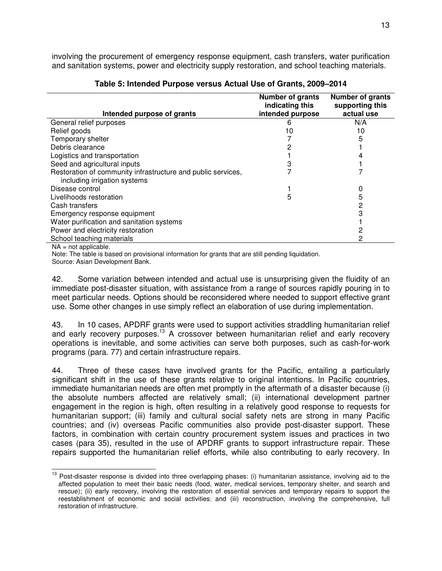involving the procurement of emergency response equipment, cash transfers, water purification and sanitation systems, power and electricity supply restoration, and school teaching materials.

| Intended purpose of grants                                                                   | <b>Number of grants</b><br>indicating this<br>intended purpose | <b>Number of grants</b><br>supporting this<br>actual use |
|----------------------------------------------------------------------------------------------|----------------------------------------------------------------|----------------------------------------------------------|
| General relief purposes                                                                      | 6                                                              | N/A                                                      |
| Relief goods                                                                                 | 10                                                             | 10                                                       |
| Temporary shelter                                                                            |                                                                | 5                                                        |
| Debris clearance                                                                             | 2                                                              |                                                          |
| Logistics and transportation                                                                 |                                                                |                                                          |
| Seed and agricultural inputs                                                                 |                                                                |                                                          |
| Restoration of community infrastructure and public services,<br>including irrigation systems |                                                                |                                                          |
| Disease control                                                                              |                                                                |                                                          |
| Livelihoods restoration                                                                      | 5                                                              | 5                                                        |
| Cash transfers                                                                               |                                                                |                                                          |
| Emergency response equipment                                                                 |                                                                |                                                          |
| Water purification and sanitation systems                                                    |                                                                |                                                          |
| Power and electricity restoration                                                            |                                                                |                                                          |
| School teaching materials                                                                    |                                                                |                                                          |
| N <sub>1</sub> not opplieable                                                                |                                                                |                                                          |

| Table 5: Intended Purpose versus Actual Use of Grants, 2009-2014 |  |  |
|------------------------------------------------------------------|--|--|
|------------------------------------------------------------------|--|--|

 $NA = not applicable.$ 

Note: The table is based on provisional information for grants that are still pending liquidation. Source: Asian Development Bank.

42. Some variation between intended and actual use is unsurprising given the fluidity of an immediate post-disaster situation, with assistance from a range of sources rapidly pouring in to meet particular needs. Options should be reconsidered where needed to support effective grant use. Some other changes in use simply reflect an elaboration of use during implementation.

43. In 10 cases, APDRF grants were used to support activities straddling humanitarian relief and early recovery purposes.<sup>13</sup> A crossover between humanitarian relief and early recovery operations is inevitable, and some activities can serve both purposes, such as cash-for-work programs (para. 77) and certain infrastructure repairs.

44. Three of these cases have involved grants for the Pacific, entailing a particularly significant shift in the use of these grants relative to original intentions. In Pacific countries, immediate humanitarian needs are often met promptly in the aftermath of a disaster because (i) the absolute numbers affected are relatively small; (ii) international development partner engagement in the region is high, often resulting in a relatively good response to requests for humanitarian support; (iii) family and cultural social safety nets are strong in many Pacific countries; and (iv) overseas Pacific communities also provide post-disaster support. These factors, in combination with certain country procurement system issues and practices in two cases (para 35), resulted in the use of APDRF grants to support infrastructure repair. These repairs supported the humanitarian relief efforts, while also contributing to early recovery. In

 $\overline{a}$  $13$  Post-disaster response is divided into three overlapping phases: (i) humanitarian assistance, involving aid to the affected population to meet their basic needs (food, water, medical services, temporary shelter, and search and rescue); (ii) early recovery, involving the restoration of essential services and temporary repairs to support the reestablishment of economic and social activities; and (iii) reconstruction, involving the comprehensive, full restoration of infrastructure.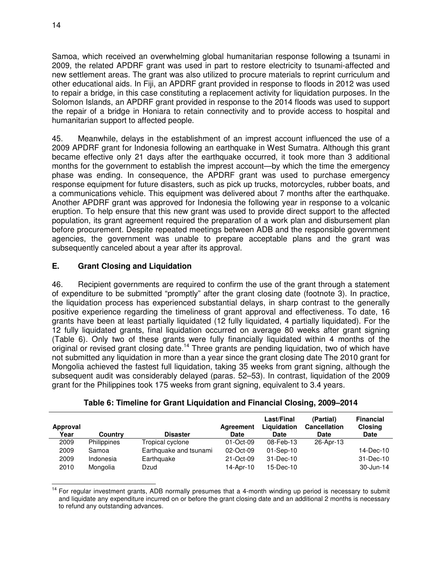14

Samoa, which received an overwhelming global humanitarian response following a tsunami in 2009, the related APDRF grant was used in part to restore electricity to tsunami-affected and new settlement areas. The grant was also utilized to procure materials to reprint curriculum and other educational aids. In Fiji, an APDRF grant provided in response to floods in 2012 was used to repair a bridge, in this case constituting a replacement activity for liquidation purposes. In the Solomon Islands, an APDRF grant provided in response to the 2014 floods was used to support the repair of a bridge in Honiara to retain connectivity and to provide access to hospital and humanitarian support to affected people.

45. Meanwhile, delays in the establishment of an imprest account influenced the use of a 2009 APDRF grant for Indonesia following an earthquake in West Sumatra. Although this grant became effective only 21 days after the earthquake occurred, it took more than 3 additional months for the government to establish the imprest account—by which the time the emergency phase was ending. In consequence, the APDRF grant was used to purchase emergency response equipment for future disasters, such as pick up trucks, motorcycles, rubber boats, and a communications vehicle. This equipment was delivered about 7 months after the earthquake. Another APDRF grant was approved for Indonesia the following year in response to a volcanic eruption. To help ensure that this new grant was used to provide direct support to the affected population, its grant agreement required the preparation of a work plan and disbursement plan before procurement. Despite repeated meetings between ADB and the responsible government agencies, the government was unable to prepare acceptable plans and the grant was subsequently canceled about a year after its approval.

## **E. Grant Closing and Liquidation**

46. Recipient governments are required to confirm the use of the grant through a statement of expenditure to be submitted "promptly" after the grant closing date (footnote 3). In practice, the liquidation process has experienced substantial delays, in sharp contrast to the generally positive experience regarding the timeliness of grant approval and effectiveness. To date, 16 grants have been at least partially liquidated (12 fully liquidated, 4 partially liquidated). For the 12 fully liquidated grants, final liquidation occurred on average 80 weeks after grant signing (Table 6). Only two of these grants were fully financially liquidated within 4 months of the original or revised grant closing date.<sup>14</sup> Three grants are pending liquidation, two of which have not submitted any liquidation in more than a year since the grant closing date The 2010 grant for Mongolia achieved the fastest full liquidation, taking 35 weeks from grant signing, although the subsequent audit was considerably delayed (paras. 52–53). In contrast, liquidation of the 2009 grant for the Philippines took 175 weeks from grant signing, equivalent to 3.4 years.

| Approval<br>Year | Country            | <b>Disaster</b>        | Agreement<br><b>Date</b> | Last/Final<br>Liquidation<br><b>Date</b> | (Partial)<br><b>Cancellation</b><br><b>Date</b> | <b>Financial</b><br><b>Closing</b><br><b>Date</b> |
|------------------|--------------------|------------------------|--------------------------|------------------------------------------|-------------------------------------------------|---------------------------------------------------|
| 2009             | <b>Philippines</b> | Tropical cyclone       | 01-Oct-09                | 08-Feb-13                                | 26-Apr-13                                       |                                                   |
| 2009             | Samoa              | Earthquake and tsunami | 02-Oct-09                | $01-Sep-10$                              |                                                 | 14-Dec-10                                         |
| 2009             | Indonesia          | Earthquake             | 21-Oct-09                | 31-Dec-10                                |                                                 | 31-Dec-10                                         |
| 2010             | Mongolia           | Dzud                   | 14-Apr-10                | 15-Dec-10                                |                                                 | 30-Jun-14                                         |

|  |  |  | Table 6: Timeline for Grant Liquidation and Financial Closing, 2009-2014 |  |
|--|--|--|--------------------------------------------------------------------------|--|
|--|--|--|--------------------------------------------------------------------------|--|

 $\overline{1}$ <sup>14</sup> For regular investment grants, ADB normally presumes that a 4-month winding up period is necessary to submit and liquidate any expenditure incurred on or before the grant closing date and an additional 2 months is necessary to refund any outstanding advances.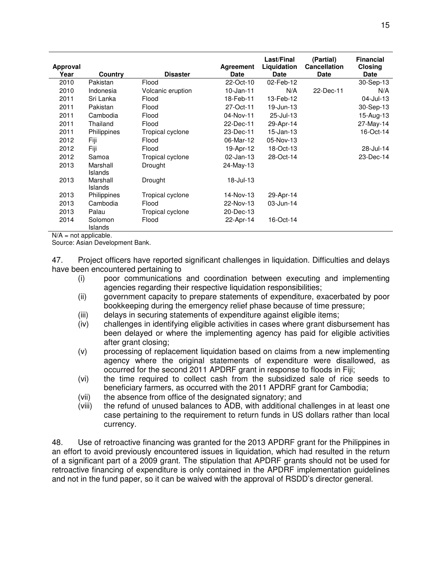| Approval<br>Year | Country                    | <b>Disaster</b>   | <b>Agreement</b><br><b>Date</b> | Last/Final<br>Liquidation<br>Date | (Partial)<br><b>Cancellation</b><br>Date | <b>Financial</b><br><b>Closing</b><br><b>Date</b> |
|------------------|----------------------------|-------------------|---------------------------------|-----------------------------------|------------------------------------------|---------------------------------------------------|
| 2010             | Pakistan                   | Flood             | 22-Oct-10                       | 02-Feb-12                         |                                          | 30-Sep-13                                         |
| 2010             | Indonesia                  | Volcanic eruption | $10$ -Jan-11                    | N/A                               | 22-Dec-11                                | N/A                                               |
| 2011             | Sri Lanka                  | Flood             | 18-Feb-11                       | 13-Feb-12                         |                                          | 04-Jul-13                                         |
| 2011             | Pakistan                   | Flood             | 27-Oct-11                       | 19-Jun-13                         |                                          | 30-Sep-13                                         |
| 2011             | Cambodia                   | Flood             | 04-Nov-11                       | 25-Jul-13                         |                                          | 15-Aug-13                                         |
| 2011             | Thailand                   | Flood             | 22-Dec-11                       | 29-Apr-14                         |                                          | 27-May-14                                         |
| 2011             | Philippines                | Tropical cyclone  | 23-Dec-11                       | 15-Jan-13                         |                                          | 16-Oct-14                                         |
| 2012             | Fiji                       | Flood             | 06-Mar-12                       | 05-Nov-13                         |                                          |                                                   |
| 2012             | Fiji                       | Flood             | 19-Apr-12                       | 18-Oct-13                         |                                          | 28-Jul-14                                         |
| 2012             | Samoa                      | Tropical cyclone  | $02$ -Jan-13                    | 28-Oct-14                         |                                          | 23-Dec-14                                         |
| 2013             | Marshall<br><b>Islands</b> | Drought           | 24-May-13                       |                                   |                                          |                                                   |
| 2013             | Marshall<br><b>Islands</b> | Drought           | 18-Jul-13                       |                                   |                                          |                                                   |
| 2013             | Philippines                | Tropical cyclone  | 14-Nov-13                       | 29-Apr-14                         |                                          |                                                   |
| 2013             | Cambodia                   | Flood             | 22-Nov-13                       | 03-Jun-14                         |                                          |                                                   |
| 2013             | Palau                      | Tropical cyclone  | 20-Dec-13                       |                                   |                                          |                                                   |
| 2014             | Solomon<br>Islands         | Flood             | 22-Apr-14                       | 16-Oct-14                         |                                          |                                                   |

 $N/A$  = not applicable.

Source: Asian Development Bank.

47. Project officers have reported significant challenges in liquidation. Difficulties and delays have been encountered pertaining to

- (i) poor communications and coordination between executing and implementing agencies regarding their respective liquidation responsibilities;
- (ii) government capacity to prepare statements of expenditure, exacerbated by poor bookkeeping during the emergency relief phase because of time pressure;
- (iii) delays in securing statements of expenditure against eligible items;
- (iv) challenges in identifying eligible activities in cases where grant disbursement has been delayed or where the implementing agency has paid for eligible activities after grant closing;
- (v) processing of replacement liquidation based on claims from a new implementing agency where the original statements of expenditure were disallowed, as occurred for the second 2011 APDRF grant in response to floods in Fiji;
- (vi) the time required to collect cash from the subsidized sale of rice seeds to beneficiary farmers, as occurred with the 2011 APDRF grant for Cambodia;
- (vii) the absence from office of the designated signatory; and
- (viii) the refund of unused balances to ADB, with additional challenges in at least one case pertaining to the requirement to return funds in US dollars rather than local currency.

48. Use of retroactive financing was granted for the 2013 APDRF grant for the Philippines in an effort to avoid previously encountered issues in liquidation, which had resulted in the return of a significant part of a 2009 grant. The stipulation that APDRF grants should not be used for retroactive financing of expenditure is only contained in the APDRF implementation guidelines and not in the fund paper, so it can be waived with the approval of RSDD's director general.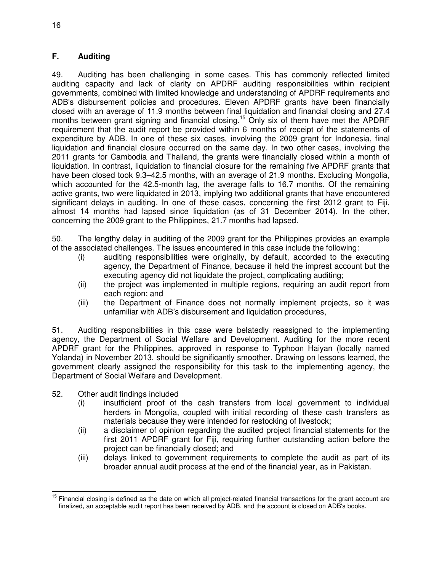## **F. Auditing**

49. Auditing has been challenging in some cases. This has commonly reflected limited auditing capacity and lack of clarity on APDRF auditing responsibilities within recipient governments, combined with limited knowledge and understanding of APDRF requirements and ADB's disbursement policies and procedures. Eleven APDRF grants have been financially closed with an average of 11.9 months between final liquidation and financial closing and 27.4 months between grant signing and financial closing.<sup>15</sup> Only six of them have met the APDRF requirement that the audit report be provided within 6 months of receipt of the statements of expenditure by ADB. In one of these six cases, involving the 2009 grant for Indonesia, final liquidation and financial closure occurred on the same day. In two other cases, involving the 2011 grants for Cambodia and Thailand, the grants were financially closed within a month of liquidation. In contrast, liquidation to financial closure for the remaining five APDRF grants that have been closed took 9.3–42.5 months, with an average of 21.9 months. Excluding Mongolia, which accounted for the 42.5-month lag, the average falls to 16.7 months. Of the remaining active grants, two were liquidated in 2013, implying two additional grants that have encountered significant delays in auditing. In one of these cases, concerning the first 2012 grant to Fiji, almost 14 months had lapsed since liquidation (as of 31 December 2014). In the other, concerning the 2009 grant to the Philippines, 21.7 months had lapsed.

50. The lengthy delay in auditing of the 2009 grant for the Philippines provides an example of the associated challenges. The issues encountered in this case include the following:

- (i) auditing responsibilities were originally, by default, accorded to the executing agency, the Department of Finance, because it held the imprest account but the executing agency did not liquidate the project, complicating auditing;
- (ii) the project was implemented in multiple regions, requiring an audit report from each region; and
- (iii) the Department of Finance does not normally implement projects, so it was unfamiliar with ADB's disbursement and liquidation procedures,

51. Auditing responsibilities in this case were belatedly reassigned to the implementing agency, the Department of Social Welfare and Development. Auditing for the more recent APDRF grant for the Philippines, approved in response to Typhoon Haiyan (locally named Yolanda) in November 2013, should be significantly smoother. Drawing on lessons learned, the government clearly assigned the responsibility for this task to the implementing agency, the Department of Social Welfare and Development.

- 52. Other audit findings included
	- (i) insufficient proof of the cash transfers from local government to individual herders in Mongolia, coupled with initial recording of these cash transfers as materials because they were intended for restocking of livestock;
	- (ii) a disclaimer of opinion regarding the audited project financial statements for the first 2011 APDRF grant for Fiji, requiring further outstanding action before the project can be financially closed; and
	- (iii) delays linked to government requirements to complete the audit as part of its broader annual audit process at the end of the financial year, as in Pakistan.

 $\overline{a}$ <sup>15</sup> Financial closing is defined as the date on which all project-related financial transactions for the grant account are finalized, an acceptable audit report has been received by ADB, and the account is closed on ADB's books.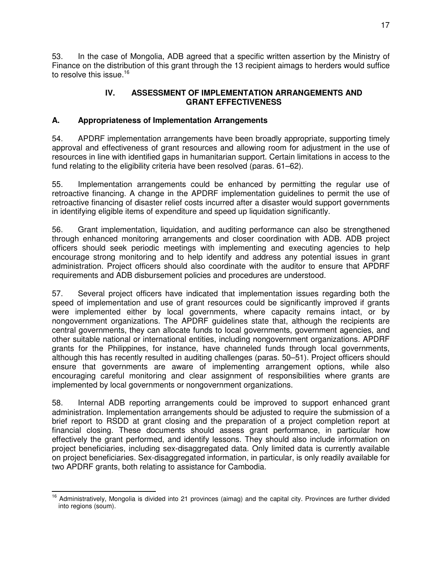53. In the case of Mongolia, ADB agreed that a specific written assertion by the Ministry of Finance on the distribution of this grant through the 13 recipient aimags to herders would suffice to resolve this issue.<sup>16</sup>

## **IV. ASSESSMENT OF IMPLEMENTATION ARRANGEMENTS AND GRANT EFFECTIVENESS**

## **A. Appropriateness of Implementation Arrangements**

54. APDRF implementation arrangements have been broadly appropriate, supporting timely approval and effectiveness of grant resources and allowing room for adjustment in the use of resources in line with identified gaps in humanitarian support. Certain limitations in access to the fund relating to the eligibility criteria have been resolved (paras. 61–62).

55. Implementation arrangements could be enhanced by permitting the regular use of retroactive financing. A change in the APDRF implementation guidelines to permit the use of retroactive financing of disaster relief costs incurred after a disaster would support governments in identifying eligible items of expenditure and speed up liquidation significantly.

56. Grant implementation, liquidation, and auditing performance can also be strengthened through enhanced monitoring arrangements and closer coordination with ADB. ADB project officers should seek periodic meetings with implementing and executing agencies to help encourage strong monitoring and to help identify and address any potential issues in grant administration. Project officers should also coordinate with the auditor to ensure that APDRF requirements and ADB disbursement policies and procedures are understood.

57. Several project officers have indicated that implementation issues regarding both the speed of implementation and use of grant resources could be significantly improved if grants were implemented either by local governments, where capacity remains intact, or by nongovernment organizations. The APDRF guidelines state that, although the recipients are central governments, they can allocate funds to local governments, government agencies, and other suitable national or international entities, including nongovernment organizations. APDRF grants for the Philippines, for instance, have channeled funds through local governments, although this has recently resulted in auditing challenges (paras. 50–51). Project officers should ensure that governments are aware of implementing arrangement options, while also encouraging careful monitoring and clear assignment of responsibilities where grants are implemented by local governments or nongovernment organizations.

58. Internal ADB reporting arrangements could be improved to support enhanced grant administration. Implementation arrangements should be adjusted to require the submission of a brief report to RSDD at grant closing and the preparation of a project completion report at financial closing. These documents should assess grant performance, in particular how effectively the grant performed, and identify lessons. They should also include information on project beneficiaries, including sex-disaggregated data. Only limited data is currently available on project beneficiaries. Sex-disaggregated information, in particular, is only readily available for two APDRF grants, both relating to assistance for Cambodia.

 $\overline{a}$ <sup>16</sup> Administratively, Mongolia is divided into 21 provinces (aimag) and the capital city. Provinces are further divided into regions (soum).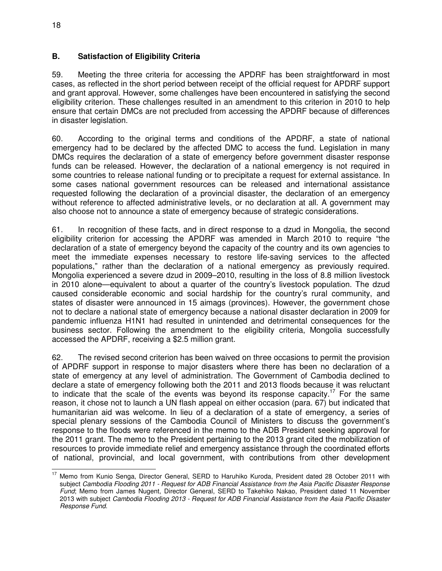## **B. Satisfaction of Eligibility Criteria**

59. Meeting the three criteria for accessing the APDRF has been straightforward in most cases, as reflected in the short period between receipt of the official request for APDRF support and grant approval. However, some challenges have been encountered in satisfying the second eligibility criterion. These challenges resulted in an amendment to this criterion in 2010 to help ensure that certain DMCs are not precluded from accessing the APDRF because of differences in disaster legislation.

60. According to the original terms and conditions of the APDRF, a state of national emergency had to be declared by the affected DMC to access the fund. Legislation in many DMCs requires the declaration of a state of emergency before government disaster response funds can be released. However, the declaration of a national emergency is not required in some countries to release national funding or to precipitate a request for external assistance. In some cases national government resources can be released and international assistance requested following the declaration of a provincial disaster, the declaration of an emergency without reference to affected administrative levels, or no declaration at all. A government may also choose not to announce a state of emergency because of strategic considerations.

61. In recognition of these facts, and in direct response to a dzud in Mongolia, the second eligibility criterion for accessing the APDRF was amended in March 2010 to require "the declaration of a state of emergency beyond the capacity of the country and its own agencies to meet the immediate expenses necessary to restore life-saving services to the affected populations," rather than the declaration of a national emergency as previously required. Mongolia experienced a severe dzud in 2009–2010, resulting in the loss of 8.8 million livestock in 2010 alone—equivalent to about a quarter of the country's livestock population. The dzud caused considerable economic and social hardship for the country's rural community, and states of disaster were announced in 15 aimags (provinces). However, the government chose not to declare a national state of emergency because a national disaster declaration in 2009 for pandemic influenza H1N1 had resulted in unintended and detrimental consequences for the business sector. Following the amendment to the eligibility criteria, Mongolia successfully accessed the APDRF, receiving a \$2.5 million grant.

62. The revised second criterion has been waived on three occasions to permit the provision of APDRF support in response to major disasters where there has been no declaration of a state of emergency at any level of administration. The Government of Cambodia declined to declare a state of emergency following both the 2011 and 2013 floods because it was reluctant to indicate that the scale of the events was beyond its response capacity.<sup>17</sup> For the same reason, it chose not to launch a UN flash appeal on either occasion (para. 67) but indicated that humanitarian aid was welcome. In lieu of a declaration of a state of emergency, a series of special plenary sessions of the Cambodia Council of Ministers to discuss the government's response to the floods were referenced in the memo to the ADB President seeking approval for the 2011 grant. The memo to the President pertaining to the 2013 grant cited the mobilization of resources to provide immediate relief and emergency assistance through the coordinated efforts of national, provincial, and local government, with contributions from other development

 $\overline{a}$ <sup>17</sup> Memo from Kunio Senga, Director General, SERD to Haruhiko Kuroda, President dated 28 October 2011 with subject Cambodia Flooding 2011 - Request for ADB Financial Assistance from the Asia Pacific Disaster Response Fund; Memo from James Nugent, Director General, SERD to Takehiko Nakao, President dated 11 November 2013 with subject Cambodia Flooding 2013 - Request for ADB Financial Assistance from the Asia Pacific Disaster Response Fund.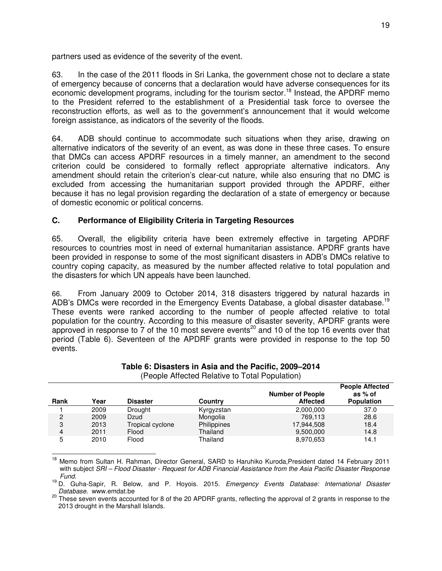partners used as evidence of the severity of the event.

63. In the case of the 2011 floods in Sri Lanka, the government chose not to declare a state of emergency because of concerns that a declaration would have adverse consequences for its economic development programs, including for the tourism sector.<sup>18</sup> Instead, the APDRF memo to the President referred to the establishment of a Presidential task force to oversee the reconstruction efforts, as well as to the government's announcement that it would welcome foreign assistance, as indicators of the severity of the floods.

64. ADB should continue to accommodate such situations when they arise, drawing on alternative indicators of the severity of an event, as was done in these three cases. To ensure that DMCs can access APDRF resources in a timely manner, an amendment to the second criterion could be considered to formally reflect appropriate alternative indicators. Any amendment should retain the criterion's clear-cut nature, while also ensuring that no DMC is excluded from accessing the humanitarian support provided through the APDRF, either because it has no legal provision regarding the declaration of a state of emergency or because of domestic economic or political concerns.

## **C. Performance of Eligibility Criteria in Targeting Resources**

65. Overall, the eligibility criteria have been extremely effective in targeting APDRF resources to countries most in need of external humanitarian assistance. APDRF grants have been provided in response to some of the most significant disasters in ADB's DMCs relative to country coping capacity, as measured by the number affected relative to total population and the disasters for which UN appeals have been launched.

66. From January 2009 to October 2014, 318 disasters triggered by natural hazards in ADB's DMCs were recorded in the Emergency Events Database, a global disaster database.<sup>19</sup> These events were ranked according to the number of people affected relative to total population for the country. According to this measure of disaster severity, APDRF grants were approved in response to  $\frac{3}{7}$  of the 10 most severe events<sup>20</sup> and 10 of the top 16 events over that period (Table 6). Seventeen of the APDRF grants were provided in response to the top 50 events.

| Rank           | Year | <b>Disaster</b>  | Country     | <b>Number of People</b><br><b>Affected</b> | $\sim$ 000.000 $\sim$ 0.000 $\sim$<br>as % of<br><b>Population</b> |
|----------------|------|------------------|-------------|--------------------------------------------|--------------------------------------------------------------------|
|                | 2009 | Drought          | Kyrgyzstan  | 2,000,000                                  | 37.0                                                               |
| 2              | 2009 | Dzud             | Mongolia    | 769.113                                    | 28.6                                                               |
| 3              | 2013 | Tropical cyclone | Philippines | 17,944,508                                 | 18.4                                                               |
| $\overline{4}$ | 2011 | Flood            | Thailand    | 9,500,000                                  | 14.8                                                               |
| 5              | 2010 | Flood            | Thailand    | 8,970,653                                  | 14.1                                                               |

#### **Table 6: Disasters in Asia and the Pacific, 2009–2014**  (People Affected Relative to Total Population)

 $\overline{1}$ <sup>18</sup> Memo from Sultan H. Rahman, Director General, SARD to Haruhiko Kuroda, President dated 14 February 2011 with subject SRI – Flood Disaster - Request for ADB Financial Assistance from the Asia Pacific Disaster Response Fund.

<sup>19</sup> D. Guha-Sapir, R. Below, and P. Hoyois. 2015. Emergency Events Database: International Disaster Database. www.emdat.be

<sup>20</sup> These seven events accounted for 8 of the 20 APDRF grants, reflecting the approval of 2 grants in response to the 2013 drought in the Marshall Islands.

**People Affected**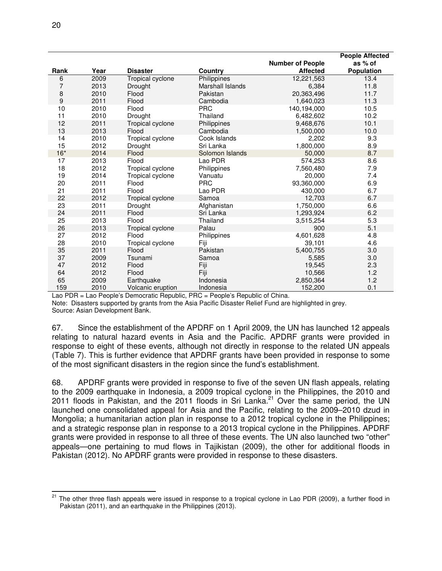|       |      |                         |                  |                         | <b>People Affected</b> |
|-------|------|-------------------------|------------------|-------------------------|------------------------|
|       |      |                         |                  | <b>Number of People</b> | as % of                |
| Rank  | Year | <b>Disaster</b>         | Country          | <b>Affected</b>         | Population             |
| 6     | 2009 | Tropical cyclone        | Philippines      | 12,221,563              | 13.4                   |
| 7     | 2013 | Drought                 | Marshall Islands | 6,384                   | 11.8                   |
| 8     | 2010 | Flood                   | Pakistan         | 20,363,496              | 11.7                   |
| 9     | 2011 | Flood                   | Cambodia         | 1,640,023               | 11.3                   |
| 10    | 2010 | Flood                   | <b>PRC</b>       | 140,194,000             | 10.5                   |
| 11    | 2010 | Drought                 | Thailand         | 6,482,602               | 10.2                   |
| 12    | 2011 | <b>Tropical cyclone</b> | Philippines      | 9,468,676               | 10.1                   |
| 13    | 2013 | Flood                   | Cambodia         | 1,500,000               | 10.0                   |
| 14    | 2010 | Tropical cyclone        | Cook Islands     | 2,202                   | 9.3                    |
| 15    | 2012 | Drought                 | Sri Lanka        | 1,800,000               | 8.9                    |
| $16*$ | 2014 | Flood                   | Solomon Islands  | 50,000                  | 8.7                    |
| 17    | 2013 | Flood                   | Lao PDR          | 574,253                 | 8.6                    |
| 18    | 2012 | Tropical cyclone        | Philippines      | 7,560,480               | 7.9                    |
| 19    | 2014 | Tropical cyclone        | Vanuatu          | 20,000                  | 7.4                    |
| 20    | 2011 | Flood                   | <b>PRC</b>       | 93,360,000              | 6.9                    |
| 21    | 2011 | Flood                   | Lao PDR          | 430,000                 | 6.7                    |
| 22    | 2012 | Tropical cyclone        | Samoa            | 12,703                  | 6.7                    |
| 23    | 2011 | Drought                 | Afghanistan      | 1,750,000               | 6.6                    |
| 24    | 2011 | Flood                   | Sri Lanka        | 1,293,924               | 6.2                    |
| 25    | 2013 | Flood                   | Thailand         | 3,515,254               | 5.3                    |
| 26    | 2013 | Tropical cyclone        | Palau            | 900                     | 5.1                    |
| 27    | 2012 | Flood                   | Philippines      | 4,601,628               | 4.8                    |
| 28    | 2010 | Tropical cyclone        | Fiji             | 39,101                  | 4.6                    |
| 35    | 2011 | Flood                   | Pakistan         | 5,400,755               | 3.0                    |
| 37    | 2009 | Tsunami                 | Samoa            | 5,585                   | 3.0                    |
| 47    | 2012 | Flood                   | Fiji             | 19,545                  | 2.3                    |
| 64    | 2012 | Flood                   | Fiji             | 10,566                  | 1.2                    |
| 65    | 2009 | Earthquake              | Indonesia        | 2,850,364               | 1.2                    |
| 159   | 2010 | Volcanic eruption       | Indonesia        | 152,200                 | 0.1                    |

Lao PDR = Lao People's Democratic Republic, PRC = People's Republic of China.

Note: Disasters supported by grants from the Asia Pacific Disaster Relief Fund are highlighted in grey. Source: Asian Development Bank.

67. Since the establishment of the APDRF on 1 April 2009, the UN has launched 12 appeals relating to natural hazard events in Asia and the Pacific. APDRF grants were provided in response to eight of these events, although not directly in response to the related UN appeals (Table 7). This is further evidence that APDRF grants have been provided in response to some of the most significant disasters in the region since the fund's establishment.

68. APDRF grants were provided in response to five of the seven UN flash appeals, relating to the 2009 earthquake in Indonesia, a 2009 tropical cyclone in the Philippines, the 2010 and 2011 floods in Pakistan, and the 2011 floods in Sri Lanka.<sup>21</sup> Over the same period, the UN launched one consolidated appeal for Asia and the Pacific, relating to the 2009–2010 dzud in Mongolia; a humanitarian action plan in response to a 2012 tropical cyclone in the Philippines; and a strategic response plan in response to a 2013 tropical cyclone in the Philippines. APDRF grants were provided in response to all three of these events. The UN also launched two "other" appeals—one pertaining to mud flows in Tajikistan (2009), the other for additional floods in Pakistan (2012). No APDRF grants were provided in response to these disasters.

 $\overline{a}$ <sup>21</sup> The other three flash appeals were issued in response to a tropical cyclone in Lao PDR (2009), a further flood in Pakistan (2011), and an earthquake in the Philippines (2013).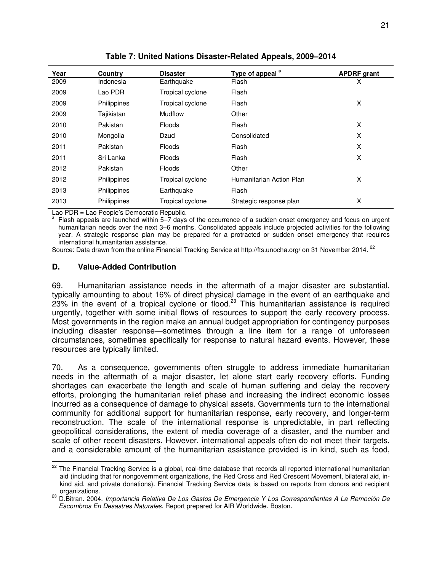| Year | <b>Country</b> | <b>Disaster</b>  | Type of appeal <sup>a</sup> | <b>APDRF</b> grant |
|------|----------------|------------------|-----------------------------|--------------------|
| 2009 | Indonesia      | Earthquake       | Flash                       | X                  |
| 2009 | Lao PDR        | Tropical cyclone | Flash                       |                    |
| 2009 | Philippines    | Tropical cyclone | Flash                       | X                  |
| 2009 | Tajikistan     | <b>Mudflow</b>   | Other                       |                    |
| 2010 | Pakistan       | <b>Floods</b>    | Flash                       | X                  |
| 2010 | Mongolia       | Dzud             | Consolidated                | X                  |
| 2011 | Pakistan       | <b>Floods</b>    | Flash                       | X                  |
| 2011 | Sri Lanka      | <b>Floods</b>    | Flash                       | X                  |
| 2012 | Pakistan       | <b>Floods</b>    | Other                       |                    |
| 2012 | Philippines    | Tropical cyclone | Humanitarian Action Plan    | X                  |
| 2013 | Philippines    | Earthquake       | Flash                       |                    |
| 2013 | Philippines    | Tropical cyclone | Strategic response plan     | X                  |

**Table 7: United Nations Disaster-Related Appeals, 2009–2014**

Lao PDR = Lao People's Democratic Republic.

<sup>a</sup> Flash appeals are launched within 5–7 days of the occurrence of a sudden onset emergency and focus on urgent humanitarian needs over the next 3–6 months. Consolidated appeals include projected activities for the following year. A strategic response plan may be prepared for a protracted or sudden onset emergency that requires international humanitarian assistance.

Source: Data drawn from the online Financial Tracking Service at http://fts.unocha.org/ on 31 November 2014. <sup>22</sup>

#### **D. Value-Added Contribution**

 $\overline{a}$ 

69. Humanitarian assistance needs in the aftermath of a major disaster are substantial, typically amounting to about 16% of direct physical damage in the event of an earthquake and  $23\%$  in the event of a tropical cyclone or flood.<sup>23</sup> This humanitarian assistance is required urgently, together with some initial flows of resources to support the early recovery process. Most governments in the region make an annual budget appropriation for contingency purposes including disaster response—sometimes through a line item for a range of unforeseen circumstances, sometimes specifically for response to natural hazard events. However, these resources are typically limited.

70. As a consequence, governments often struggle to address immediate humanitarian needs in the aftermath of a major disaster, let alone start early recovery efforts. Funding shortages can exacerbate the length and scale of human suffering and delay the recovery efforts, prolonging the humanitarian relief phase and increasing the indirect economic losses incurred as a consequence of damage to physical assets. Governments turn to the international community for additional support for humanitarian response, early recovery, and longer-term reconstruction. The scale of the international response is unpredictable, in part reflecting geopolitical considerations, the extent of media coverage of a disaster, and the number and scale of other recent disasters. However, international appeals often do not meet their targets, and a considerable amount of the humanitarian assistance provided is in kind, such as food,

<sup>&</sup>lt;sup>22</sup> The Financial Tracking Service is a global, real-time database that records all reported international humanitarian aid (including that for nongovernment organizations, the Red Cross and Red Crescent Movement, bilateral aid, inkind aid, and private donations). Financial Tracking Service data is based on reports from donors and recipient

<sup>&</sup>lt;sup>23</sup> D.Bitran. 2004. *Importancia Relativa De Los Gastos De Emergencia Y Los Correspondientes A La Remoción De*<br><sup>23</sup> D.Bitran. 2004. *Importancia Relativa De Los Gastos De Emergencia Y Los Correspondientes A La Remoción De* Escombros En Desastres Naturales. Report prepared for AIR Worldwide. Boston.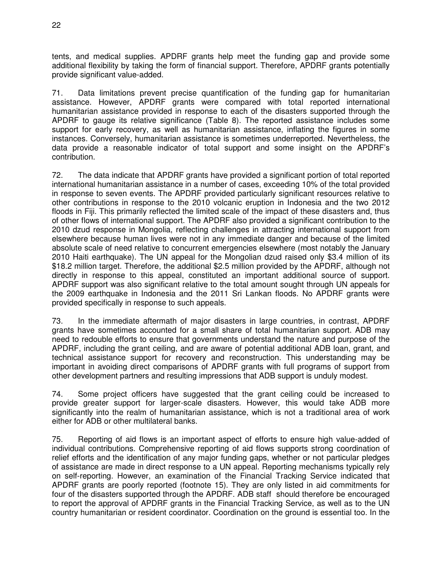tents, and medical supplies. APDRF grants help meet the funding gap and provide some additional flexibility by taking the form of financial support. Therefore, APDRF grants potentially provide significant value-added.

71. Data limitations prevent precise quantification of the funding gap for humanitarian assistance. However, APDRF grants were compared with total reported international humanitarian assistance provided in response to each of the disasters supported through the APDRF to gauge its relative significance (Table 8). The reported assistance includes some support for early recovery, as well as humanitarian assistance, inflating the figures in some instances. Conversely, humanitarian assistance is sometimes underreported. Nevertheless, the data provide a reasonable indicator of total support and some insight on the APDRF's contribution.

72. The data indicate that APDRF grants have provided a significant portion of total reported international humanitarian assistance in a number of cases, exceeding 10% of the total provided in response to seven events. The APDRF provided particularly significant resources relative to other contributions in response to the 2010 volcanic eruption in Indonesia and the two 2012 floods in Fiji. This primarily reflected the limited scale of the impact of these disasters and, thus of other flows of international support. The APDRF also provided a significant contribution to the 2010 dzud response in Mongolia, reflecting challenges in attracting international support from elsewhere because human lives were not in any immediate danger and because of the limited absolute scale of need relative to concurrent emergencies elsewhere (most notably the January 2010 Haiti earthquake). The UN appeal for the Mongolian dzud raised only \$3.4 million of its \$18.2 million target. Therefore, the additional \$2.5 million provided by the APDRF, although not directly in response to this appeal, constituted an important additional source of support. APDRF support was also significant relative to the total amount sought through UN appeals for the 2009 earthquake in Indonesia and the 2011 Sri Lankan floods. No APDRF grants were provided specifically in response to such appeals.

73. In the immediate aftermath of major disasters in large countries, in contrast, APDRF grants have sometimes accounted for a small share of total humanitarian support. ADB may need to redouble efforts to ensure that governments understand the nature and purpose of the APDRF, including the grant ceiling, and are aware of potential additional ADB loan, grant, and technical assistance support for recovery and reconstruction. This understanding may be important in avoiding direct comparisons of APDRF grants with full programs of support from other development partners and resulting impressions that ADB support is unduly modest.

74. Some project officers have suggested that the grant ceiling could be increased to provide greater support for larger-scale disasters. However, this would take ADB more significantly into the realm of humanitarian assistance, which is not a traditional area of work either for ADB or other multilateral banks.

75. Reporting of aid flows is an important aspect of efforts to ensure high value-added of individual contributions. Comprehensive reporting of aid flows supports strong coordination of relief efforts and the identification of any major funding gaps, whether or not particular pledges of assistance are made in direct response to a UN appeal. Reporting mechanisms typically rely on self-reporting. However, an examination of the Financial Tracking Service indicated that APDRF grants are poorly reported (footnote 15). They are only listed in aid commitments for four of the disasters supported through the APDRF. ADB staff should therefore be encouraged to report the approval of APDRF grants in the Financial Tracking Service, as well as to the UN country humanitarian or resident coordinator. Coordination on the ground is essential too. In the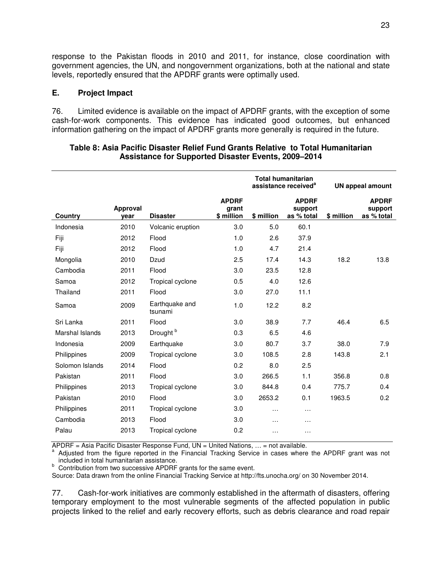response to the Pakistan floods in 2010 and 2011, for instance, close coordination with government agencies, the UN, and nongovernment organizations, both at the national and state levels, reportedly ensured that the APDRF grants were optimally used.

#### **E. Project Impact**

76. Limited evidence is available on the impact of APDRF grants, with the exception of some cash-for-work components. This evidence has indicated good outcomes, but enhanced information gathering on the impact of APDRF grants more generally is required in the future.

|                 |                  |                           |                                     | <b>Total humanitarian</b><br>assistance received <sup>a</sup> |                                       | <b>UN appeal amount</b> |                                       |
|-----------------|------------------|---------------------------|-------------------------------------|---------------------------------------------------------------|---------------------------------------|-------------------------|---------------------------------------|
| Country         | Approval<br>year | <b>Disaster</b>           | <b>APDRF</b><br>grant<br>\$ million | \$ million                                                    | <b>APDRF</b><br>support<br>as % total | \$ million              | <b>APDRF</b><br>support<br>as % total |
| Indonesia       | 2010             | Volcanic eruption         | 3.0                                 | 5.0                                                           | 60.1                                  |                         |                                       |
| Fiji            | 2012             | Flood                     | 1.0                                 | 2.6                                                           | 37.9                                  |                         |                                       |
| Fiji            | 2012             | Flood                     | 1.0                                 | 4.7                                                           | 21.4                                  |                         |                                       |
| Mongolia        | 2010             | Dzud                      | 2.5                                 | 17.4                                                          | 14.3                                  | 18.2                    | 13.8                                  |
| Cambodia        | 2011             | Flood                     | 3.0                                 | 23.5                                                          | 12.8                                  |                         |                                       |
| Samoa           | 2012             | Tropical cyclone          | 0.5                                 | 4.0                                                           | 12.6                                  |                         |                                       |
| Thailand        | 2011             | Flood                     | 3.0                                 | 27.0                                                          | 11.1                                  |                         |                                       |
| Samoa           | 2009             | Earthquake and<br>tsunami | 1.0                                 | 12.2                                                          | 8.2                                   |                         |                                       |
| Sri Lanka       | 2011             | Flood                     | 3.0                                 | 38.9                                                          | 7.7                                   | 46.4                    | 6.5                                   |
| Marshal Islands | 2013             | Drought <sup>b</sup>      | 0.3                                 | 6.5                                                           | 4.6                                   |                         |                                       |
| Indonesia       | 2009             | Earthquake                | 3.0                                 | 80.7                                                          | 3.7                                   | 38.0                    | 7.9                                   |
| Philippines     | 2009             | Tropical cyclone          | 3.0                                 | 108.5                                                         | 2.8                                   | 143.8                   | 2.1                                   |
| Solomon Islands | 2014             | Flood                     | 0.2                                 | 8.0                                                           | 2.5                                   |                         |                                       |
| Pakistan        | 2011             | Flood                     | 3.0                                 | 266.5                                                         | 1.1                                   | 356.8                   | 0.8                                   |
| Philippines     | 2013             | Tropical cyclone          | 3.0                                 | 844.8                                                         | 0.4                                   | 775.7                   | 0.4                                   |
| Pakistan        | 2010             | Flood                     | 3.0                                 | 2653.2                                                        | 0.1                                   | 1963.5                  | 0.2                                   |
| Philippines     | 2011             | Tropical cyclone          | 3.0                                 | .                                                             | $\cdots$                              |                         |                                       |
| Cambodia        | 2013             | Flood                     | 3.0                                 | .                                                             | $\cdots$                              |                         |                                       |
| Palau           | 2013             | Tropical cyclone          | 0.2                                 | $\cdots$                                                      | $\cdots$                              |                         |                                       |

#### **Table 8: Asia Pacific Disaster Relief Fund Grants Relative to Total Humanitarian Assistance for Supported Disaster Events, 2009–2014**

APDRF = Asia Pacific Disaster Response Fund, UN = United Nations, … = not available.

a Adjusted from the figure reported in the Financial Tracking Service in cases where the APDRF grant was not included in total humanitarian assistance.

b Contribution from two successive APDRF grants for the same event.

Source: Data drawn from the online Financial Tracking Service at http://fts.unocha.org/ on 30 November 2014.

77. Cash-for-work initiatives are commonly established in the aftermath of disasters, offering temporary employment to the most vulnerable segments of the affected population in public projects linked to the relief and early recovery efforts, such as debris clearance and road repair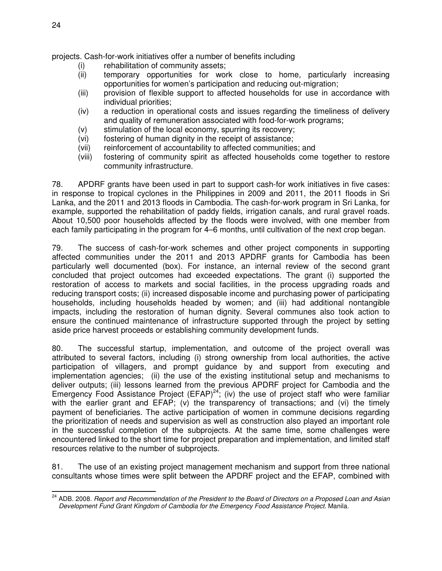projects. Cash-for-work initiatives offer a number of benefits including

- (i) rehabilitation of community assets;
- (ii) temporary opportunities for work close to home, particularly increasing opportunities for women's participation and reducing out-migration;
- (iii) provision of flexible support to affected households for use in accordance with individual priorities;
- (iv) a reduction in operational costs and issues regarding the timeliness of delivery and quality of remuneration associated with food-for-work programs;
- (v) stimulation of the local economy, spurring its recovery;
- (vi) fostering of human dignity in the receipt of assistance;
- (vii) reinforcement of accountability to affected communities; and
- (viii) fostering of community spirit as affected households come together to restore community infrastructure.

78. APDRF grants have been used in part to support cash-for work initiatives in five cases: in response to tropical cyclones in the Philippines in 2009 and 2011, the 2011 floods in Sri Lanka, and the 2011 and 2013 floods in Cambodia. The cash-for-work program in Sri Lanka, for example, supported the rehabilitation of paddy fields, irrigation canals, and rural gravel roads. About 10,500 poor households affected by the floods were involved, with one member from each family participating in the program for 4–6 months, until cultivation of the next crop began.

79. The success of cash-for-work schemes and other project components in supporting affected communities under the 2011 and 2013 APDRF grants for Cambodia has been particularly well documented (box). For instance, an internal review of the second grant concluded that project outcomes had exceeded expectations. The grant (i) supported the restoration of access to markets and social facilities, in the process upgrading roads and reducing transport costs; (ii) increased disposable income and purchasing power of participating households, including households headed by women; and (iii) had additional nontangible impacts, including the restoration of human dignity. Several communes also took action to ensure the continued maintenance of infrastructure supported through the project by setting aside price harvest proceeds or establishing community development funds.

80. The successful startup, implementation, and outcome of the project overall was attributed to several factors, including (i) strong ownership from local authorities, the active participation of villagers, and prompt guidance by and support from executing and implementation agencies; (ii) the use of the existing institutional setup and mechanisms to deliver outputs; (iii) lessons learned from the previous APDRF project for Cambodia and the Emergency Food Assistance Project  $(EFAP)^{24}$ ; (iv) the use of project staff who were familiar with the earlier grant and EFAP; (v) the transparency of transactions; and (vi) the timely payment of beneficiaries. The active participation of women in commune decisions regarding the prioritization of needs and supervision as well as construction also played an important role in the successful completion of the subprojects. At the same time, some challenges were encountered linked to the short time for project preparation and implementation, and limited staff resources relative to the number of subprojects.

81. The use of an existing project management mechanism and support from three national consultants whose times were split between the APDRF project and the EFAP, combined with

 $\overline{a}$ <sup>24</sup> ADB. 2008. Report and Recommendation of the President to the Board of Directors on a Proposed Loan and Asian Development Fund Grant Kingdom of Cambodia for the Emergency Food Assistance Project. Manila.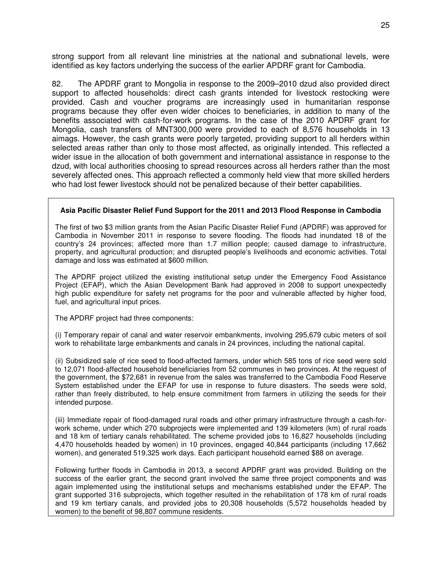strong support from all relevant line ministries at the national and subnational levels, were identified as key factors underlying the success of the earlier APDRF grant for Cambodia.

82. The APDRF grant to Mongolia in response to the 2009–2010 dzud also provided direct support to affected households: direct cash grants intended for livestock restocking were provided. Cash and voucher programs are increasingly used in humanitarian response programs because they offer even wider choices to beneficiaries, in addition to many of the benefits associated with cash-for-work programs. In the case of the 2010 APDRF grant for Mongolia, cash transfers of MNT300,000 were provided to each of 8,576 households in 13 aimags. However, the cash grants were poorly targeted, providing support to all herders within selected areas rather than only to those most affected, as originally intended. This reflected a wider issue in the allocation of both government and international assistance in response to the dzud, with local authorities choosing to spread resources across all herders rather than the most severely affected ones. This approach reflected a commonly held view that more skilled herders who had lost fewer livestock should not be penalized because of their better capabilities.

#### **Asia Pacific Disaster Relief Fund Support for the 2011 and 2013 Flood Response in Cambodia**

The first of two \$3 million grants from the Asian Pacific Disaster Relief Fund (APDRF) was approved for Cambodia in November 2011 in response to severe flooding. The floods had inundated 18 of the country's 24 provinces; affected more than 1.7 million people; caused damage to infrastructure, property, and agricultural production; and disrupted people's livelihoods and economic activities. Total damage and loss was estimated at \$600 million.

The APDRF project utilized the existing institutional setup under the Emergency Food Assistance Project (EFAP), which the Asian Development Bank had approved in 2008 to support unexpectedly high public expenditure for safety net programs for the poor and vulnerable affected by higher food, fuel, and agricultural input prices.

The APDRF project had three components:

(i) Temporary repair of canal and water reservoir embankments, involving 295,679 cubic meters of soil work to rehabilitate large embankments and canals in 24 provinces, including the national capital.

(ii) Subsidized sale of rice seed to flood-affected farmers, under which 585 tons of rice seed were sold to 12,071 flood-affected household beneficiaries from 52 communes in two provinces. At the request of the government, the \$72,681 in revenue from the sales was transferred to the Cambodia Food Reserve System established under the EFAP for use in response to future disasters. The seeds were sold, rather than freely distributed, to help ensure commitment from farmers in utilizing the seeds for their intended purpose.

(iii) Immediate repair of flood-damaged rural roads and other primary infrastructure through a cash-forwork scheme, under which 270 subprojects were implemented and 139 kilometers (km) of rural roads and 18 km of tertiary canals rehabilitated. The scheme provided jobs to 16,827 households (including 4,470 households headed by women) in 10 provinces, engaged 40,844 participants (including 17,662 women), and generated 519,325 work days. Each participant household earned \$88 on average.

Following further floods in Cambodia in 2013, a second APDRF grant was provided. Building on the success of the earlier grant, the second grant involved the same three project components and was again implemented using the institutional setups and mechanisms established under the EFAP. The grant supported 316 subprojects, which together resulted in the rehabilitation of 178 km of rural roads and 19 km tertiary canals, and provided jobs to 20,308 households (5,572 households headed by women) to the benefit of 98,807 commune residents.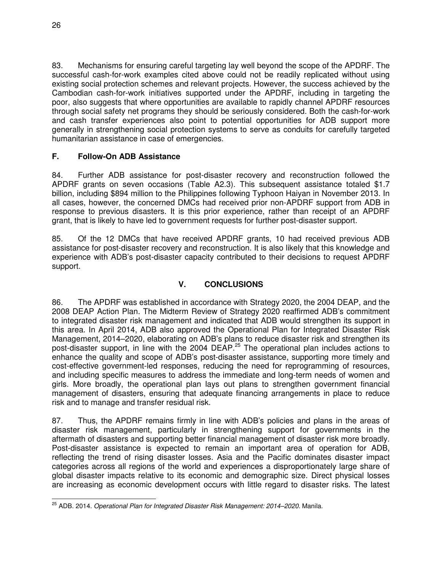83. Mechanisms for ensuring careful targeting lay well beyond the scope of the APDRF. The successful cash-for-work examples cited above could not be readily replicated without using existing social protection schemes and relevant projects. However, the success achieved by the Cambodian cash-for-work initiatives supported under the APDRF, including in targeting the poor, also suggests that where opportunities are available to rapidly channel APDRF resources through social safety net programs they should be seriously considered. Both the cash-for-work and cash transfer experiences also point to potential opportunities for ADB support more generally in strengthening social protection systems to serve as conduits for carefully targeted humanitarian assistance in case of emergencies.

## **F. Follow-On ADB Assistance**

84. Further ADB assistance for post-disaster recovery and reconstruction followed the APDRF grants on seven occasions (Table A2.3). This subsequent assistance totaled \$1.7 billion, including \$894 million to the Philippines following Typhoon Haiyan in November 2013. In all cases, however, the concerned DMCs had received prior non-APDRF support from ADB in response to previous disasters. It is this prior experience, rather than receipt of an APDRF grant, that is likely to have led to government requests for further post-disaster support.

85. Of the 12 DMCs that have received APDRF grants, 10 had received previous ADB assistance for post-disaster recovery and reconstruction. It is also likely that this knowledge and experience with ADB's post-disaster capacity contributed to their decisions to request APDRF support.

## **V. CONCLUSIONS**

86. The APDRF was established in accordance with Strategy 2020, the 2004 DEAP, and the 2008 DEAP Action Plan. The Midterm Review of Strategy 2020 reaffirmed ADB's commitment to integrated disaster risk management and indicated that ADB would strengthen its support in this area. In April 2014, ADB also approved the Operational Plan for Integrated Disaster Risk Management, 2014–2020, elaborating on ADB's plans to reduce disaster risk and strengthen its post-disaster support, in line with the 2004 DEAP.<sup>25</sup> The operational plan includes actions to enhance the quality and scope of ADB's post-disaster assistance, supporting more timely and cost-effective government-led responses, reducing the need for reprogramming of resources, and including specific measures to address the immediate and long-term needs of women and girls. More broadly, the operational plan lays out plans to strengthen government financial management of disasters, ensuring that adequate financing arrangements in place to reduce risk and to manage and transfer residual risk.

87. Thus, the APDRF remains firmly in line with ADB's policies and plans in the areas of disaster risk management, particularly in strengthening support for governments in the aftermath of disasters and supporting better financial management of disaster risk more broadly. Post-disaster assistance is expected to remain an important area of operation for ADB, reflecting the trend of rising disaster losses. Asia and the Pacific dominates disaster impact categories across all regions of the world and experiences a disproportionately large share of global disaster impacts relative to its economic and demographic size. Direct physical losses are increasing as economic development occurs with little regard to disaster risks. The latest

 $\overline{a}$ <sup>25</sup> ADB. 2014. *Operational Plan for Integrated Disaster Risk Management: 2014–2020.* Manila.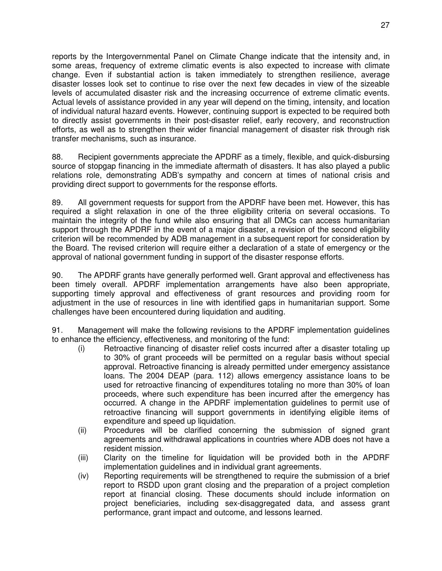reports by the Intergovernmental Panel on Climate Change indicate that the intensity and, in some areas, frequency of extreme climatic events is also expected to increase with climate change. Even if substantial action is taken immediately to strengthen resilience, average disaster losses look set to continue to rise over the next few decades in view of the sizeable levels of accumulated disaster risk and the increasing occurrence of extreme climatic events. Actual levels of assistance provided in any year will depend on the timing, intensity, and location of individual natural hazard events. However, continuing support is expected to be required both to directly assist governments in their post-disaster relief, early recovery, and reconstruction efforts, as well as to strengthen their wider financial management of disaster risk through risk transfer mechanisms, such as insurance.

88. Recipient governments appreciate the APDRF as a timely, flexible, and quick-disbursing source of stopgap financing in the immediate aftermath of disasters. It has also played a public relations role, demonstrating ADB's sympathy and concern at times of national crisis and providing direct support to governments for the response efforts.

89. All government requests for support from the APDRF have been met. However, this has required a slight relaxation in one of the three eligibility criteria on several occasions. To maintain the integrity of the fund while also ensuring that all DMCs can access humanitarian support through the APDRF in the event of a major disaster, a revision of the second eligibility criterion will be recommended by ADB management in a subsequent report for consideration by the Board. The revised criterion will require either a declaration of a state of emergency or the approval of national government funding in support of the disaster response efforts.

90. The APDRF grants have generally performed well. Grant approval and effectiveness has been timely overall. APDRF implementation arrangements have also been appropriate, supporting timely approval and effectiveness of grant resources and providing room for adjustment in the use of resources in line with identified gaps in humanitarian support. Some challenges have been encountered during liquidation and auditing.

91. Management will make the following revisions to the APDRF implementation guidelines to enhance the efficiency, effectiveness, and monitoring of the fund:

- (i) Retroactive financing of disaster relief costs incurred after a disaster totaling up to 30% of grant proceeds will be permitted on a regular basis without special approval. Retroactive financing is already permitted under emergency assistance loans. The 2004 DEAP (para. 112) allows emergency assistance loans to be used for retroactive financing of expenditures totaling no more than 30% of loan proceeds, where such expenditure has been incurred after the emergency has occurred. A change in the APDRF implementation guidelines to permit use of retroactive financing will support governments in identifying eligible items of expenditure and speed up liquidation.
- (ii) Procedures will be clarified concerning the submission of signed grant agreements and withdrawal applications in countries where ADB does not have a resident mission.
- (iii) Clarity on the timeline for liquidation will be provided both in the APDRF implementation guidelines and in individual grant agreements.
- (iv) Reporting requirements will be strengthened to require the submission of a brief report to RSDD upon grant closing and the preparation of a project completion report at financial closing. These documents should include information on project beneficiaries, including sex-disaggregated data, and assess grant performance, grant impact and outcome, and lessons learned.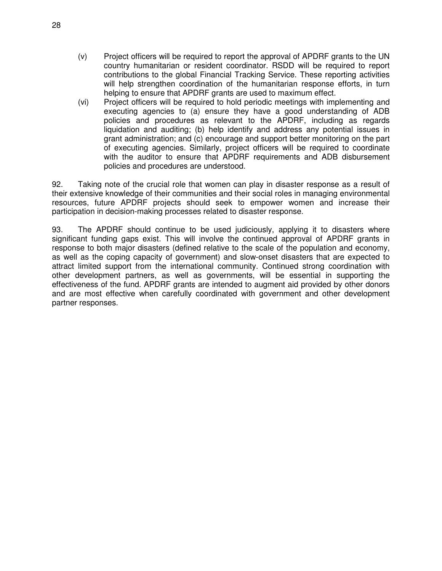- (v) Project officers will be required to report the approval of APDRF grants to the UN country humanitarian or resident coordinator. RSDD will be required to report contributions to the global Financial Tracking Service. These reporting activities will help strengthen coordination of the humanitarian response efforts, in turn helping to ensure that APDRF grants are used to maximum effect.
- (vi) Project officers will be required to hold periodic meetings with implementing and executing agencies to (a) ensure they have a good understanding of ADB policies and procedures as relevant to the APDRF, including as regards liquidation and auditing; (b) help identify and address any potential issues in grant administration; and (c) encourage and support better monitoring on the part of executing agencies. Similarly, project officers will be required to coordinate with the auditor to ensure that APDRF requirements and ADB disbursement policies and procedures are understood.

92. Taking note of the crucial role that women can play in disaster response as a result of their extensive knowledge of their communities and their social roles in managing environmental resources, future APDRF projects should seek to empower women and increase their participation in decision-making processes related to disaster response.

93. The APDRF should continue to be used judiciously, applying it to disasters where significant funding gaps exist. This will involve the continued approval of APDRF grants in response to both major disasters (defined relative to the scale of the population and economy, as well as the coping capacity of government) and slow-onset disasters that are expected to attract limited support from the international community. Continued strong coordination with other development partners, as well as governments, will be essential in supporting the effectiveness of the fund. APDRF grants are intended to augment aid provided by other donors and are most effective when carefully coordinated with government and other development partner responses.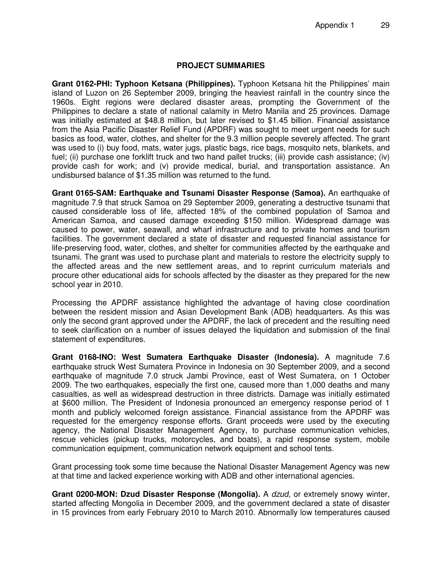## **PROJECT SUMMARIES**

**Grant 0162-PHI: Typhoon Ketsana (Philippines).** Typhoon Ketsana hit the Philippines' main island of Luzon on 26 September 2009, bringing the heaviest rainfall in the country since the 1960s. Eight regions were declared disaster areas, prompting the Government of the Philippines to declare a state of national calamity in Metro Manila and 25 provinces. Damage was initially estimated at \$48.8 million, but later revised to \$1.45 billion. Financial assistance from the Asia Pacific Disaster Relief Fund (APDRF) was sought to meet urgent needs for such basics as food, water, clothes, and shelter for the 9.3 million people severely affected. The grant was used to (i) buy food, mats, water jugs, plastic bags, rice bags, mosquito nets, blankets, and fuel; (ii) purchase one forklift truck and two hand pallet trucks; (iii) provide cash assistance; (iv) provide cash for work; and (v) provide medical, burial, and transportation assistance. An undisbursed balance of \$1.35 million was returned to the fund.

**Grant 0165-SAM: Earthquake and Tsunami Disaster Response (Samoa).** An earthquake of magnitude 7.9 that struck Samoa on 29 September 2009, generating a destructive tsunami that caused considerable loss of life, affected 18% of the combined population of Samoa and American Samoa, and caused damage exceeding \$150 million. Widespread damage was caused to power, water, seawall, and wharf infrastructure and to private homes and tourism facilities. The government declared a state of disaster and requested financial assistance for life-preserving food, water, clothes, and shelter for communities affected by the earthquake and tsunami. The grant was used to purchase plant and materials to restore the electricity supply to the affected areas and the new settlement areas, and to reprint curriculum materials and procure other educational aids for schools affected by the disaster as they prepared for the new school year in 2010.

Processing the APDRF assistance highlighted the advantage of having close coordination between the resident mission and Asian Development Bank (ADB) headquarters. As this was only the second grant approved under the APDRF, the lack of precedent and the resulting need to seek clarification on a number of issues delayed the liquidation and submission of the final statement of expenditures.

**Grant 0168-INO: West Sumatera Earthquake Disaster (Indonesia).** A magnitude 7.6 earthquake struck West Sumatera Province in Indonesia on 30 September 2009, and a second earthquake of magnitude 7.0 struck Jambi Province, east of West Sumatera, on 1 October 2009. The two earthquakes, especially the first one, caused more than 1,000 deaths and many casualties, as well as widespread destruction in three districts. Damage was initially estimated at \$600 million. The President of Indonesia pronounced an emergency response period of 1 month and publicly welcomed foreign assistance. Financial assistance from the APDRF was requested for the emergency response efforts. Grant proceeds were used by the executing agency, the National Disaster Management Agency, to purchase communication vehicles, rescue vehicles (pickup trucks, motorcycles, and boats), a rapid response system, mobile communication equipment, communication network equipment and school tents.

Grant processing took some time because the National Disaster Management Agency was new at that time and lacked experience working with ADB and other international agencies.

**Grant 0200-MON: Dzud Disaster Response (Mongolia).** A dzud, or extremely snowy winter, started affecting Mongolia in December 2009, and the government declared a state of disaster in 15 provinces from early February 2010 to March 2010. Abnormally low temperatures caused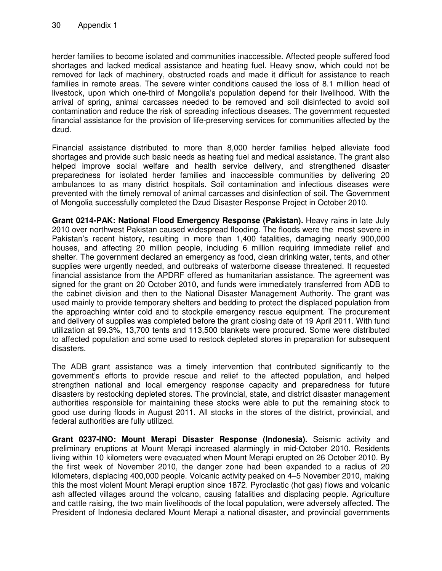herder families to become isolated and communities inaccessible. Affected people suffered food shortages and lacked medical assistance and heating fuel. Heavy snow, which could not be removed for lack of machinery, obstructed roads and made it difficult for assistance to reach families in remote areas. The severe winter conditions caused the loss of 8.1 million head of livestock, upon which one-third of Mongolia's population depend for their livelihood. With the arrival of spring, animal carcasses needed to be removed and soil disinfected to avoid soil contamination and reduce the risk of spreading infectious diseases. The government requested financial assistance for the provision of life-preserving services for communities affected by the dzud.

Financial assistance distributed to more than 8,000 herder families helped alleviate food shortages and provide such basic needs as heating fuel and medical assistance. The grant also helped improve social welfare and health service delivery, and strengthened disaster preparedness for isolated herder families and inaccessible communities by delivering 20 ambulances to as many district hospitals. Soil contamination and infectious diseases were prevented with the timely removal of animal carcasses and disinfection of soil. The Government of Mongolia successfully completed the Dzud Disaster Response Project in October 2010.

**Grant 0214-PAK: National Flood Emergency Response (Pakistan).** Heavy rains in late July 2010 over northwest Pakistan caused widespread flooding. The floods were the most severe in Pakistan's recent history, resulting in more than 1,400 fatalities, damaging nearly 900,000 houses, and affecting 20 million people, including 6 million requiring immediate relief and shelter. The government declared an emergency as food, clean drinking water, tents, and other supplies were urgently needed, and outbreaks of waterborne disease threatened. It requested financial assistance from the APDRF offered as humanitarian assistance. The agreement was signed for the grant on 20 October 2010, and funds were immediately transferred from ADB to the cabinet division and then to the National Disaster Management Authority. The grant was used mainly to provide temporary shelters and bedding to protect the displaced population from the approaching winter cold and to stockpile emergency rescue equipment. The procurement and delivery of supplies was completed before the grant closing date of 19 April 2011. With fund utilization at 99.3%, 13,700 tents and 113,500 blankets were procured. Some were distributed to affected population and some used to restock depleted stores in preparation for subsequent disasters.

The ADB grant assistance was a timely intervention that contributed significantly to the government's efforts to provide rescue and relief to the affected population, and helped strengthen national and local emergency response capacity and preparedness for future disasters by restocking depleted stores. The provincial, state, and district disaster management authorities responsible for maintaining these stocks were able to put the remaining stock to good use during floods in August 2011. All stocks in the stores of the district, provincial, and federal authorities are fully utilized.

**Grant 0237-INO: Mount Merapi Disaster Response (Indonesia).** Seismic activity and preliminary eruptions at Mount Merapi increased alarmingly in mid-October 2010. Residents living within 10 kilometers were evacuated when Mount Merapi erupted on 26 October 2010. By the first week of November 2010, the danger zone had been expanded to a radius of 20 kilometers, displacing 400,000 people. Volcanic activity peaked on 4–5 November 2010, making this the most violent Mount Merapi eruption since 1872. Pyroclastic (hot gas) flows and volcanic ash affected villages around the volcano, causing fatalities and displacing people. Agriculture and cattle raising, the two main livelihoods of the local population, were adversely affected. The President of Indonesia declared Mount Merapi a national disaster, and provincial governments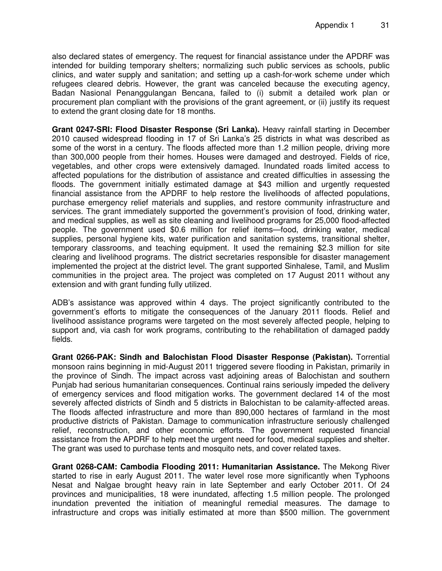also declared states of emergency. The request for financial assistance under the APDRF was intended for building temporary shelters; normalizing such public services as schools, public clinics, and water supply and sanitation; and setting up a cash-for-work scheme under which refugees cleared debris. However, the grant was canceled because the executing agency, Badan Nasional Penanggulangan Bencana, failed to (i) submit a detailed work plan or procurement plan compliant with the provisions of the grant agreement, or (ii) justify its request to extend the grant closing date for 18 months.

**Grant 0247-SRI: Flood Disaster Response (Sri Lanka).** Heavy rainfall starting in December 2010 caused widespread flooding in 17 of Sri Lanka's 25 districts in what was described as some of the worst in a century. The floods affected more than 1.2 million people, driving more than 300,000 people from their homes. Houses were damaged and destroyed. Fields of rice, vegetables, and other crops were extensively damaged. Inundated roads limited access to affected populations for the distribution of assistance and created difficulties in assessing the floods. The government initially estimated damage at \$43 million and urgently requested financial assistance from the APDRF to help restore the livelihoods of affected populations, purchase emergency relief materials and supplies, and restore community infrastructure and services. The grant immediately supported the government's provision of food, drinking water, and medical supplies, as well as site cleaning and livelihood programs for 25,000 flood-affected people. The government used \$0.6 million for relief items—food, drinking water, medical supplies, personal hygiene kits, water purification and sanitation systems, transitional shelter, temporary classrooms, and teaching equipment. It used the remaining \$2.3 million for site clearing and livelihood programs. The district secretaries responsible for disaster management implemented the project at the district level. The grant supported Sinhalese, Tamil, and Muslim communities in the project area. The project was completed on 17 August 2011 without any extension and with grant funding fully utilized.

ADB's assistance was approved within 4 days. The project significantly contributed to the government's efforts to mitigate the consequences of the January 2011 floods. Relief and livelihood assistance programs were targeted on the most severely affected people, helping to support and, via cash for work programs, contributing to the rehabilitation of damaged paddy fields.

**Grant 0266-PAK: Sindh and Balochistan Flood Disaster Response (Pakistan).** Torrential monsoon rains beginning in mid-August 2011 triggered severe flooding in Pakistan, primarily in the province of Sindh. The impact across vast adjoining areas of Balochistan and southern Punjab had serious humanitarian consequences. Continual rains seriously impeded the delivery of emergency services and flood mitigation works. The government declared 14 of the most severely affected districts of Sindh and 5 districts in Balochistan to be calamity-affected areas. The floods affected infrastructure and more than 890,000 hectares of farmland in the most productive districts of Pakistan. Damage to communication infrastructure seriously challenged relief, reconstruction, and other economic efforts. The government requested financial assistance from the APDRF to help meet the urgent need for food, medical supplies and shelter. The grant was used to purchase tents and mosquito nets, and cover related taxes.

**Grant 0268-CAM: Cambodia Flooding 2011: Humanitarian Assistance.** The Mekong River started to rise in early August 2011. The water level rose more significantly when Typhoons Nesat and Nalgae brought heavy rain in late September and early October 2011. Of 24 provinces and municipalities, 18 were inundated, affecting 1.5 million people. The prolonged inundation prevented the initiation of meaningful remedial measures. The damage to infrastructure and crops was initially estimated at more than \$500 million. The government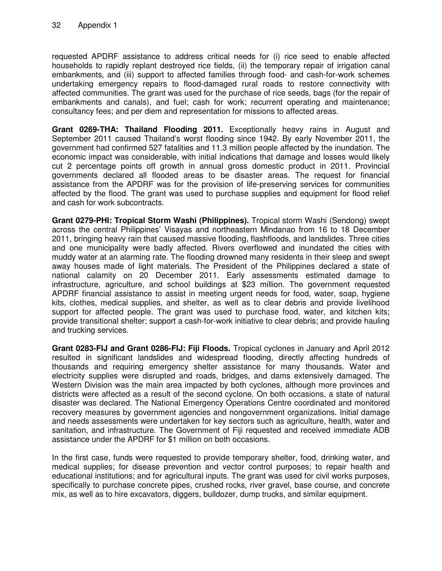requested APDRF assistance to address critical needs for (i) rice seed to enable affected households to rapidly replant destroyed rice fields, (ii) the temporary repair of irrigation canal embankments, and (iii) support to affected families through food- and cash-for-work schemes undertaking emergency repairs to flood-damaged rural roads to restore connectivity with affected communities. The grant was used for the purchase of rice seeds, bags (for the repair of embankments and canals), and fuel; cash for work; recurrent operating and maintenance; consultancy fees; and per diem and representation for missions to affected areas.

**Grant 0269-THA: Thailand Flooding 2011.** Exceptionally heavy rains in August and September 2011 caused Thailand's worst flooding since 1942. By early November 2011, the government had confirmed 527 fatalities and 11.3 million people affected by the inundation. The economic impact was considerable, with initial indications that damage and losses would likely cut 2 percentage points off growth in annual gross domestic product in 2011. Provincial governments declared all flooded areas to be disaster areas. The request for financial assistance from the APDRF was for the provision of life-preserving services for communities affected by the flood. The grant was used to purchase supplies and equipment for flood relief and cash for work subcontracts.

**Grant 0279-PHI: Tropical Storm Washi (Philippines).** Tropical storm Washi (Sendong) swept across the central Philippines' Visayas and northeastern Mindanao from 16 to 18 December 2011, bringing heavy rain that caused massive flooding, flashfloods, and landslides. Three cities and one municipality were badly affected. Rivers overflowed and inundated the cities with muddy water at an alarming rate. The flooding drowned many residents in their sleep and swept away houses made of light materials. The President of the Philippines declared a state of national calamity on 20 December 2011. Early assessments estimated damage to infrastructure, agriculture, and school buildings at \$23 million. The government requested APDRF financial assistance to assist in meeting urgent needs for food, water, soap, hygiene kits, clothes, medical supplies, and shelter, as well as to clear debris and provide livelihood support for affected people. The grant was used to purchase food, water, and kitchen kits; provide transitional shelter; support a cash-for-work initiative to clear debris; and provide hauling and trucking services.

**Grant 0283-FIJ and Grant 0286-FIJ: Fiji Floods.** Tropical cyclones in January and April 2012 resulted in significant landslides and widespread flooding, directly affecting hundreds of thousands and requiring emergency shelter assistance for many thousands. Water and electricity supplies were disrupted and roads, bridges, and dams extensively damaged. The Western Division was the main area impacted by both cyclones, although more provinces and districts were affected as a result of the second cyclone. On both occasions, a state of natural disaster was declared. The National Emergency Operations Centre coordinated and monitored recovery measures by government agencies and nongovernment organizations. Initial damage and needs assessments were undertaken for key sectors such as agriculture, health, water and sanitation, and infrastructure. The Government of Fiji requested and received immediate ADB assistance under the APDRF for \$1 million on both occasions.

In the first case, funds were requested to provide temporary shelter, food, drinking water, and medical supplies; for disease prevention and vector control purposes; to repair health and educational institutions; and for agricultural inputs. The grant was used for civil works purposes, specifically to purchase concrete pipes, crushed rocks, river gravel, base course, and concrete mix, as well as to hire excavators, diggers, bulldozer, dump trucks, and similar equipment.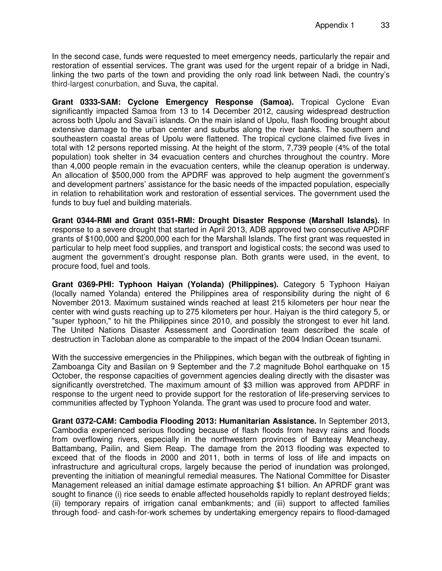In the second case, funds were requested to meet emergency needs, particularly the repair and restoration of essential services. The grant was used for the urgent repair of a bridge in Nadi, linking the two parts of the town and providing the only road link between Nadi, the country's third-largest conurbation, and Suva, the capital.

**Grant 0333-SAM: Cyclone Emergency Response (Samoa).** Tropical Cyclone Evan significantly impacted Samoa from 13 to 14 December 2012, causing widespread destruction across both Upolu and Savai'i islands. On the main island of Upolu, flash flooding brought about extensive damage to the urban center and suburbs along the river banks. The southern and southeastern coastal areas of Upolu were flattened. The tropical cyclone claimed five lives in total with 12 persons reported missing. At the height of the storm, 7,739 people (4% of the total population) took shelter in 34 evacuation centers and churches throughout the country. More than 4,000 people remain in the evacuation centers, while the cleanup operation is underway. An allocation of \$500,000 from the APDRF was approved to help augment the government's and development partners' assistance for the basic needs of the impacted population, especially in relation to rehabilitation work and restoration of essential services. The government used the funds to buy fuel and building materials.

**Grant 0344-RMI and Grant 0351-RMI: Drought Disaster Response (Marshall Islands).** In response to a severe drought that started in April 2013, ADB approved two consecutive APDRF grants of \$100,000 and \$200,000 each for the Marshall Islands. The first grant was requested in particular to help meet food supplies, and transport and logistical costs; the second was used to augment the government's drought response plan. Both grants were used, in the event, to procure food, fuel and tools.

**Grant 0369-PHI: Typhoon Haiyan (Yolanda) (Philippines).** Category 5 Typhoon Haiyan (locally named Yolanda) entered the Philippines area of responsibility during the night of 6 November 2013. Maximum sustained winds reached at least 215 kilometers per hour near the center with wind gusts reaching up to 275 kilometers per hour. Haiyan is the third category 5, or "super typhoon," to hit the Philippines since 2010, and possibly the strongest to ever hit land. The United Nations Disaster Assessment and Coordination team described the scale of destruction in Tacloban alone as comparable to the impact of the 2004 Indian Ocean tsunami.

With the successive emergencies in the Philippines, which began with the outbreak of fighting in Zamboanga City and Basilan on 9 September and the 7.2 magnitude Bohol earthquake on 15 October, the response capacities of government agencies dealing directly with the disaster was significantly overstretched. The maximum amount of \$3 million was approved from APDRF in response to the urgent need to provide support for the restoration of life-preserving services to communities affected by Typhoon Yolanda. The grant was used to procure food and water.

**Grant 0372-CAM: Cambodia Flooding 2013: Humanitarian Assistance.** In September 2013, Cambodia experienced serious flooding because of flash floods from heavy rains and floods from overflowing rivers, especially in the northwestern provinces of Banteay Meancheay, Battambang, Pailin, and Siem Reap. The damage from the 2013 flooding was expected to exceed that of the floods in 2000 and 2011, both in terms of loss of life and impacts on infrastructure and agricultural crops, largely because the period of inundation was prolonged, preventing the initiation of meaningful remedial measures. The National Committee for Disaster Management released an initial damage estimate approaching \$1 billion. An APRDF grant was sought to finance (i) rice seeds to enable affected households rapidly to replant destroyed fields; (ii) temporary repairs of irrigation canal embankments; and (iii) support to affected families through food- and cash-for-work schemes by undertaking emergency repairs to flood-damaged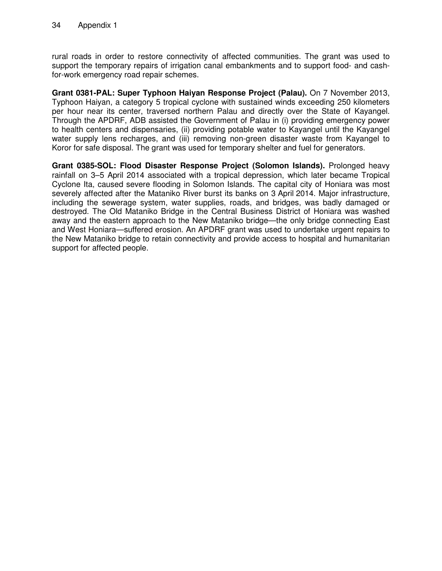rural roads in order to restore connectivity of affected communities. The grant was used to support the temporary repairs of irrigation canal embankments and to support food- and cashfor-work emergency road repair schemes.

**Grant 0381-PAL: Super Typhoon Haiyan Response Project (Palau).** On 7 November 2013, Typhoon Haiyan, a category 5 tropical cyclone with sustained winds exceeding 250 kilometers per hour near its center, traversed northern Palau and directly over the State of Kayangel. Through the APDRF, ADB assisted the Government of Palau in (i) providing emergency power to health centers and dispensaries, (ii) providing potable water to Kayangel until the Kayangel water supply lens recharges, and (iii) removing non-green disaster waste from Kayangel to Koror for safe disposal. The grant was used for temporary shelter and fuel for generators.

**Grant 0385-SOL: Flood Disaster Response Project (Solomon Islands).** Prolonged heavy rainfall on 3–5 April 2014 associated with a tropical depression, which later became Tropical Cyclone Ita, caused severe flooding in Solomon Islands. The capital city of Honiara was most severely affected after the Mataniko River burst its banks on 3 April 2014. Major infrastructure, including the sewerage system, water supplies, roads, and bridges, was badly damaged or destroyed. The Old Mataniko Bridge in the Central Business District of Honiara was washed away and the eastern approach to the New Mataniko bridge—the only bridge connecting East and West Honiara—suffered erosion. An APDRF grant was used to undertake urgent repairs to the New Mataniko bridge to retain connectivity and provide access to hospital and humanitarian support for affected people.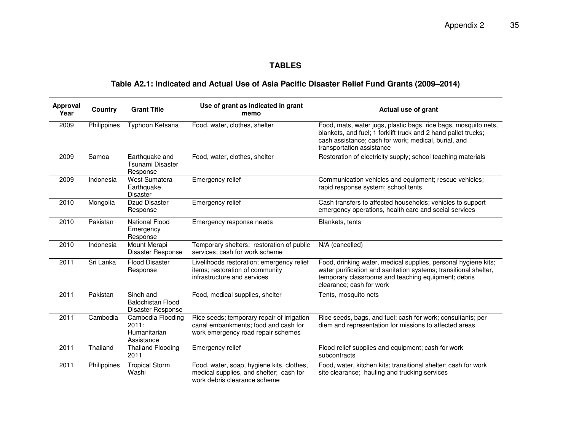## **TABLES**

## **Table A2.1: Indicated and Actual Use of Asia Pacific Disaster Relief Fund Grants (2009–2014)**

| Approval<br>Year | Country     | <b>Grant Title</b>                                         | Use of grant as indicated in grant<br>memo                                                                               | Actual use of grant                                                                                                                                                                                                    |
|------------------|-------------|------------------------------------------------------------|--------------------------------------------------------------------------------------------------------------------------|------------------------------------------------------------------------------------------------------------------------------------------------------------------------------------------------------------------------|
| 2009             | Philippines | Typhoon Ketsana                                            | Food, water, clothes, shelter                                                                                            | Food, mats, water jugs, plastic bags, rice bags, mosquito nets,<br>blankets, and fuel; 1 forklift truck and 2 hand pallet trucks;<br>cash assistance; cash for work; medical, burial, and<br>transportation assistance |
| 2009             | Samoa       | Earthquake and<br>Tsunami Disaster<br>Response             | Food, water, clothes, shelter                                                                                            | Restoration of electricity supply; school teaching materials                                                                                                                                                           |
| 2009             | Indonesia   | West Sumatera<br>Earthquake<br><b>Disaster</b>             | Emergency relief                                                                                                         | Communication vehicles and equipment; rescue vehicles;<br>rapid response system; school tents                                                                                                                          |
| 2010             | Mongolia    | Dzud Disaster<br>Response                                  | Emergency relief                                                                                                         | Cash transfers to affected households; vehicles to support<br>emergency operations, health care and social services                                                                                                    |
| 2010             | Pakistan    | <b>National Flood</b><br>Emergency<br>Response             | Emergency response needs                                                                                                 | Blankets, tents                                                                                                                                                                                                        |
| 2010             | Indonesia   | Mount Merapi<br>Disaster Response                          | Temporary shelters; restoration of public<br>services; cash for work scheme                                              | N/A (cancelled)                                                                                                                                                                                                        |
| 2011             | Sri Lanka   | <b>Flood Disaster</b><br>Response                          | Livelihoods restoration; emergency relief<br>items; restoration of community<br>infrastructure and services              | Food, drinking water, medical supplies, personal hygiene kits;<br>water purification and sanitation systems; transitional shelter,<br>temporary classrooms and teaching equipment; debris<br>clearance; cash for work  |
| 2011             | Pakistan    | Sindh and<br><b>Balochistan Flood</b><br>Disaster Response | Food, medical supplies, shelter                                                                                          | Tents, mosquito nets                                                                                                                                                                                                   |
| 2011             | Cambodia    | Cambodia Flooding<br>2011:<br>Humanitarian<br>Assistance   | Rice seeds; temporary repair of irrigation<br>canal embankments; food and cash for<br>work emergency road repair schemes | Rice seeds, bags, and fuel; cash for work; consultants; per<br>diem and representation for missions to affected areas                                                                                                  |
| 2011             | Thailand    | <b>Thailand Flooding</b><br>2011                           | Emergency relief                                                                                                         | Flood relief supplies and equipment; cash for work<br>subcontracts                                                                                                                                                     |
| 2011             | Philippines | <b>Tropical Storm</b><br>Washi                             | Food, water, soap, hygiene kits, clothes,<br>medical supplies, and shelter; cash for<br>work debris clearance scheme     | Food, water, kitchen kits; transitional shelter; cash for work<br>site clearance; hauling and trucking services                                                                                                        |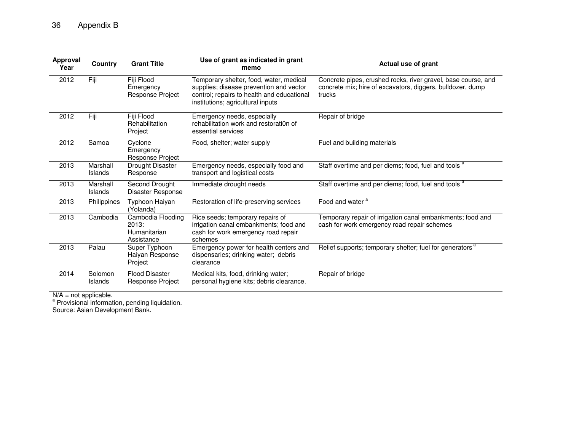| <b>Approval</b><br>Year | Country             | <b>Grant Title</b>                                       | Use of grant as indicated in grant<br>memo                                                                                                                            | Actual use of grant                                                                                                                   |
|-------------------------|---------------------|----------------------------------------------------------|-----------------------------------------------------------------------------------------------------------------------------------------------------------------------|---------------------------------------------------------------------------------------------------------------------------------------|
| 2012                    | Fiji                | Fiji Flood<br>Emergency<br>Response Project              | Temporary shelter, food, water, medical<br>supplies; disease prevention and vector<br>control; repairs to health and educational<br>institutions; agricultural inputs | Concrete pipes, crushed rocks, river gravel, base course, and<br>concrete mix; hire of excavators, diggers, bulldozer, dump<br>trucks |
| 2012                    | Fiji                | Fiji Flood<br>Rehabilitation<br>Project                  | Emergency needs, especially<br>rehabilitation work and restoration of<br>essential services                                                                           | Repair of bridge                                                                                                                      |
| 2012                    | Samoa               | Cyclone<br>Emergency<br>Response Project                 | Food, shelter; water supply                                                                                                                                           | Fuel and building materials                                                                                                           |
| 2013                    | Marshall<br>Islands | Drought Disaster<br>Response                             | Emergency needs, especially food and<br>transport and logistical costs                                                                                                | Staff overtime and per diems; food, fuel and tools <sup>a</sup>                                                                       |
| 2013                    | Marshall<br>Islands | Second Drought<br>Disaster Response                      | Immediate drought needs                                                                                                                                               | Staff overtime and per diems; food, fuel and tools <sup>a</sup>                                                                       |
| 2013                    | Philippines         | Typhoon Haiyan<br>(Yolanda)                              | Restoration of life-preserving services                                                                                                                               | Food and water <sup>a</sup>                                                                                                           |
| 2013                    | Cambodia            | Cambodia Flooding<br>2013:<br>Humanitarian<br>Assistance | Rice seeds; temporary repairs of<br>irrigation canal embankments; food and<br>cash for work emergency road repair<br>schemes                                          | Temporary repair of irrigation canal embankments; food and<br>cash for work emergency road repair schemes                             |
| 2013                    | Palau               | Super Typhoon<br>Haiyan Response<br>Project              | Emergency power for health centers and<br>dispensaries; drinking water; debris<br>clearance                                                                           | Relief supports; temporary shelter; fuel for generators <sup>a</sup>                                                                  |
| 2014                    | Solomon<br>Islands  | <b>Flood Disaster</b><br>Response Project                | Medical kits, food, drinking water;<br>personal hygiene kits; debris clearance.                                                                                       | Repair of bridge                                                                                                                      |

N/A = not applicable.<br><sup>a</sup> Provisional information, pending liquidation.<br>Source: Asian Development Bank.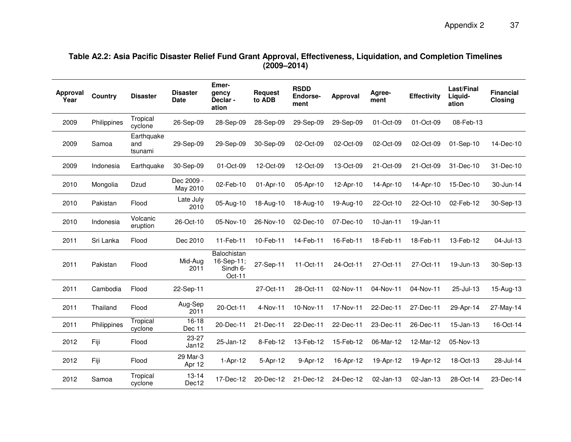# **Table A2.2: Asia Pacific Disaster Relief Fund Grant Approval, Effectiveness, Liquidation, and Completion Timelines (2009–2014)**

| Approval<br>Year | Country     | <b>Disaster</b>              | <b>Disaster</b><br><b>Date</b> | Emer-<br>qency<br>Declar-<br>ation              | <b>Request</b><br>to ADB | <b>RSDD</b><br>Endorse-<br>ment | Approval  | Agree-<br>ment | <b>Effectivity</b> | Last/Final<br>Liquid-<br>ation | <b>Financial</b><br>Closing |
|------------------|-------------|------------------------------|--------------------------------|-------------------------------------------------|--------------------------|---------------------------------|-----------|----------------|--------------------|--------------------------------|-----------------------------|
| 2009             | Philippines | Tropical<br>cyclone          | 26-Sep-09                      | 28-Sep-09                                       | 28-Sep-09                | 29-Sep-09                       | 29-Sep-09 | 01-Oct-09      | 01-Oct-09          | 08-Feb-13                      |                             |
| 2009             | Samoa       | Earthquake<br>and<br>tsunami | 29-Sep-09                      | 29-Sep-09                                       | 30-Sep-09                | 02-Oct-09                       | 02-Oct-09 | 02-Oct-09      | 02-Oct-09          | 01-Sep-10                      | 14-Dec-10                   |
| 2009             | Indonesia   | Earthquake                   | 30-Sep-09                      | 01-Oct-09                                       | 12-Oct-09                | 12-Oct-09                       | 13-Oct-09 | 21-Oct-09      | 21-Oct-09          | 31-Dec-10                      | 31-Dec-10                   |
| 2010             | Mongolia    | Dzud                         | Dec 2009 -<br>May 2010         | 02-Feb-10                                       | 01-Apr-10                | 05-Apr-10                       | 12-Apr-10 | 14-Apr-10      | 14-Apr-10          | 15-Dec-10                      | 30-Jun-14                   |
| 2010             | Pakistan    | Flood                        | Late July<br>2010              | 05-Aug-10                                       | 18-Aug-10                | 18-Aug-10                       | 19-Aug-10 | 22-Oct-10      | 22-Oct-10          | 02-Feb-12                      | 30-Sep-13                   |
| 2010             | Indonesia   | Volcanic<br>eruption         | 26-Oct-10                      | 05-Nov-10                                       | 26-Nov-10                | 02-Dec-10                       | 07-Dec-10 | 10-Jan-11      | 19-Jan-11          |                                |                             |
| 2011             | Sri Lanka   | Flood                        | Dec 2010                       | 11-Feb-11                                       | 10-Feb-11                | 14-Feb-11                       | 16-Feb-11 | 18-Feb-11      | 18-Feb-11          | 13-Feb-12                      | 04-Jul-13                   |
| 2011             | Pakistan    | Flood                        | Mid-Aug<br>2011                | Balochistan<br>16-Sep-11;<br>Sindh 6-<br>Oct-11 | 27-Sep-11                | 11-Oct-11                       | 24-Oct-11 | 27-Oct-11      | 27-Oct-11          | 19-Jun-13                      | 30-Sep-13                   |
| 2011             | Cambodia    | Flood                        | 22-Sep-11                      |                                                 | 27-Oct-11                | 28-Oct-11                       | 02-Nov-11 | 04-Nov-11      | 04-Nov-11          | 25-Jul-13                      | 15-Aug-13                   |
| 2011             | Thailand    | Flood                        | Aug-Sep<br>2011                | 20-Oct-11                                       | 4-Nov-11                 | 10-Nov-11                       | 17-Nov-11 | 22-Dec-11      | 27-Dec-11          | 29-Apr-14                      | 27-May-14                   |
| 2011             | Philippines | Tropical<br>cyclone          | $16 - 18$<br>Dec 11            | 20-Dec-11                                       | 21-Dec-11                | 22-Dec-11                       | 22-Dec-11 | 23-Dec-11      | 26-Dec-11          | $15 - Jan-13$                  | 16-Oct-14                   |
| 2012             | Fiji        | Flood                        | 23-27<br>Jan12                 | 25-Jan-12                                       | 8-Feb-12                 | 13-Feb-12                       | 15-Feb-12 | 06-Mar-12      | 12-Mar-12          | 05-Nov-13                      |                             |
| 2012             | Fiji        | Flood                        | 29 Mar-3<br>Apr 12             | $1-Apr-12$                                      | 5-Apr-12                 | 9-Apr-12                        | 16-Apr-12 | 19-Apr-12      | 19-Apr-12          | 18-Oct-13                      | 28-Jul-14                   |
| 2012             | Samoa       | Tropical<br>cyclone          | $13 - 14$<br>Dec12             | 17-Dec-12                                       | 20-Dec-12                | 21-Dec-12                       | 24-Dec-12 | 02-Jan-13      | 02-Jan-13          | 28-Oct-14                      | 23-Dec-14                   |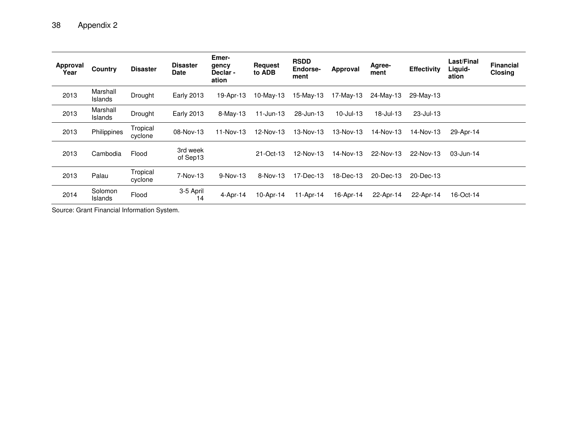| <b>Approval</b><br>Year | Country                    | <b>Disaster</b>     | <b>Disaster</b><br><b>Date</b> | Emer-<br>gency<br>Declar-<br>ation | <b>Request</b><br>to ADB | <b>RSDD</b><br>Endorse-<br>ment | Approval     | Agree-<br>ment   | <b>Effectivity</b> | Last/Final<br>Liquid-<br>ation | <b>Financial</b><br>Closing |
|-------------------------|----------------------------|---------------------|--------------------------------|------------------------------------|--------------------------|---------------------------------|--------------|------------------|--------------------|--------------------------------|-----------------------------|
| 2013                    | Marshall<br>Islands        | Drought             | <b>Early 2013</b>              | 19-Apr-13                          | $10$ -May-13             | 15-May-13                       | 17-May-13    | 24-May-13        | 29-May-13          |                                |                             |
| 2013                    | Marshall<br><b>Islands</b> | Drought             | <b>Early 2013</b>              | $8-Mav-13$                         | $11$ -Jun-13             | 28-Jun-13                       | $10$ -Jul-13 | $18 -$ Jul $-13$ | 23-Jul-13          |                                |                             |
| 2013                    | Philippines                | Tropical<br>cyclone | 08-Nov-13                      | 11-Nov-13                          | 12-Nov-13                | 13-Nov-13                       | 13-Nov-13    | 14-Nov-13        | 14-Nov-13          | 29-Apr-14                      |                             |
| 2013                    | Cambodia                   | Flood               | 3rd week<br>of Sep13           |                                    | 21-Oct-13                | 12-Nov-13                       | 14-Nov-13    | 22-Nov-13        | 22-Nov-13          | 03-Jun-14                      |                             |
| 2013                    | Palau                      | Tropical<br>cyclone | 7-Nov-13                       | $9-Nov-13$                         | $8-Nov-13$               | 17-Dec-13                       | 18-Dec-13    | 20-Dec-13        | 20-Dec-13          |                                |                             |
| 2014                    | Solomon<br><b>Islands</b>  | Flood               | 3-5 April<br>14                | $4-Apr-14$                         | 10-Apr-14                | 11-Apr-14                       | 16-Apr-14    | 22-Apr-14        | 22-Apr-14          | 16-Oct-14                      |                             |

Source: Grant Financial Information System.